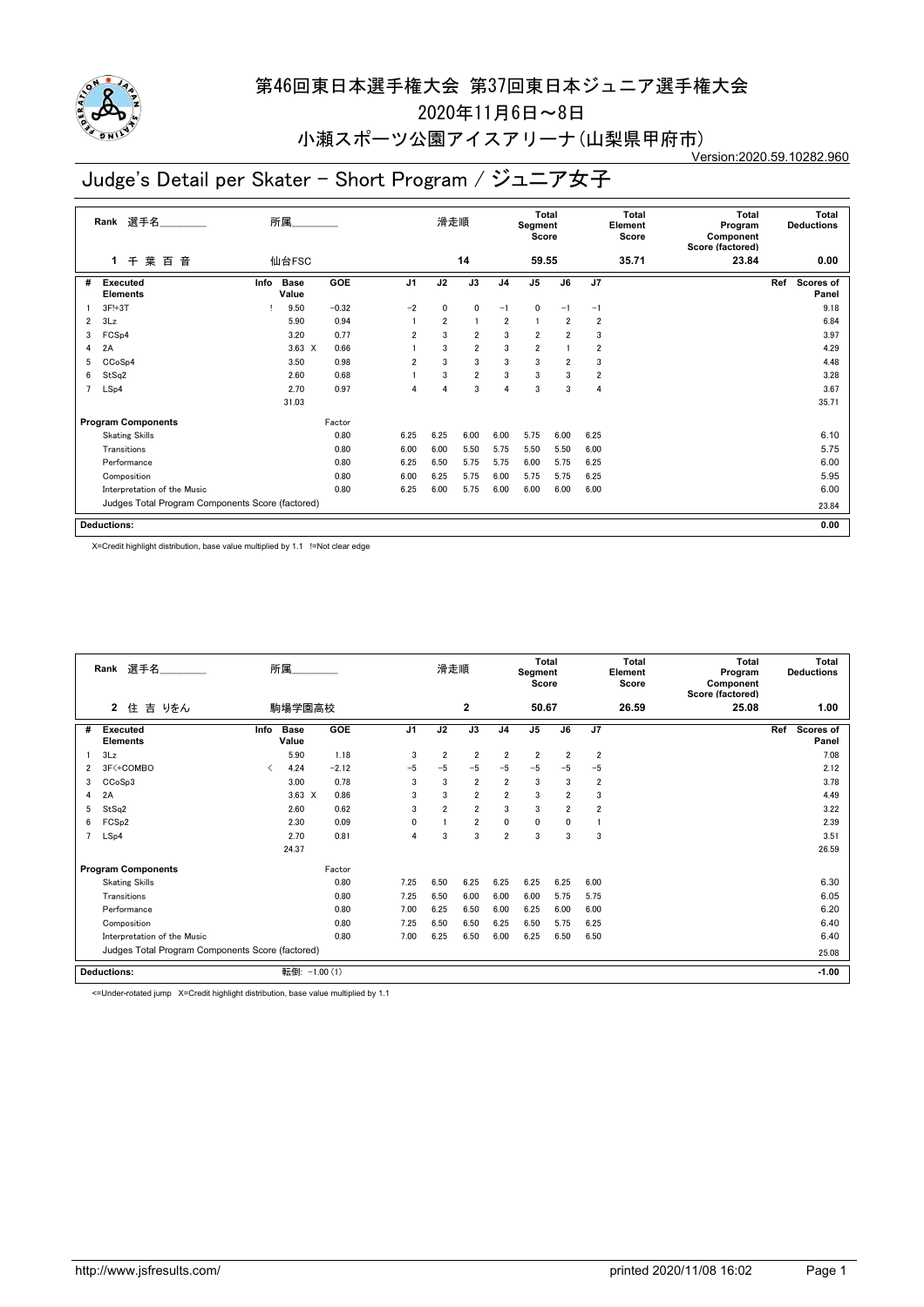

2020年11月6日~8日

#### 小瀬スポーツ公園アイスアリーナ(山梨県甲府市) Version:2020.59.10282.960

# Judge's Detail per Skater - Short Program / ジュニア女子

|                | 選手名<br>Rank                                      |      | 所属                   |         |                | 滑走順  |                 |                         | <b>Total</b><br>Segment<br>Score |                         |                | <b>Total</b><br>Element<br>Score | <b>Total</b><br>Program<br>Component<br>Score (factored) |     | <b>Total</b><br><b>Deductions</b> |
|----------------|--------------------------------------------------|------|----------------------|---------|----------------|------|-----------------|-------------------------|----------------------------------|-------------------------|----------------|----------------------------------|----------------------------------------------------------|-----|-----------------------------------|
|                | 千葉<br>音<br>百<br>$\mathbf{1}$                     |      | 仙台FSC                |         |                |      | 14              |                         | 59.55                            |                         |                | 35.71                            | 23.84                                                    |     | 0.00                              |
| #              | <b>Executed</b><br><b>Elements</b>               | Info | <b>Base</b><br>Value | GOE     | J <sub>1</sub> | J2   | $\overline{J3}$ | J <sub>4</sub>          | $\overline{J5}$                  | J6                      | J7             |                                  |                                                          | Ref | <b>Scores of</b><br>Panel         |
|                | 3F!+3T                                           |      | 9.50                 | $-0.32$ | $-2$           | 0    | 0               | $-1$                    | 0                                | $-1$                    | $-1$           |                                  |                                                          |     | 9.18                              |
| $\overline{2}$ | 3Lz                                              |      | 5.90                 | 0.94    |                | 2    |                 | $\overline{\mathbf{2}}$ | 1                                | $\overline{2}$          | $\overline{2}$ |                                  |                                                          |     | 6.84                              |
| 3              | FCS <sub>p4</sub>                                |      | 3.20                 | 0.77    | $\overline{2}$ | 3    | $\overline{2}$  | 3                       | $\overline{2}$                   | $\overline{2}$          | 3              |                                  |                                                          |     | 3.97                              |
| 4              | 2A                                               |      | $3.63 \times$        | 0.66    |                | 3    | $\overline{2}$  | 3                       | $\overline{2}$                   |                         | 2              |                                  |                                                          |     | 4.29                              |
| 5              | CCoSp4                                           |      | 3.50                 | 0.98    | $\overline{2}$ | 3    | 3               | 3                       | 3                                | $\overline{\mathbf{2}}$ | 3              |                                  |                                                          |     | 4.48                              |
| 6              | StSq2                                            |      | 2.60                 | 0.68    |                | 3    | $\overline{2}$  | 3                       | 3                                | 3                       | 2              |                                  |                                                          |     | 3.28                              |
| 7              | LSp4                                             |      | 2.70                 | 0.97    | 4              | 4    | 3               | 4                       | 3                                | 3                       | 4              |                                  |                                                          |     | 3.67                              |
|                |                                                  |      | 31.03                |         |                |      |                 |                         |                                  |                         |                |                                  |                                                          |     | 35.71                             |
|                | <b>Program Components</b>                        |      |                      | Factor  |                |      |                 |                         |                                  |                         |                |                                  |                                                          |     |                                   |
|                | <b>Skating Skills</b>                            |      |                      | 0.80    | 6.25           | 6.25 | 6.00            | 6.00                    | 5.75                             | 6.00                    | 6.25           |                                  |                                                          |     | 6.10                              |
|                | Transitions                                      |      |                      | 0.80    | 6.00           | 6.00 | 5.50            | 5.75                    | 5.50                             | 5.50                    | 6.00           |                                  |                                                          |     | 5.75                              |
|                | Performance                                      |      |                      | 0.80    | 6.25           | 6.50 | 5.75            | 5.75                    | 6.00                             | 5.75                    | 6.25           |                                  |                                                          |     | 6.00                              |
|                | Composition                                      |      |                      | 0.80    | 6.00           | 6.25 | 5.75            | 6.00                    | 5.75                             | 5.75                    | 6.25           |                                  |                                                          |     | 5.95                              |
|                | Interpretation of the Music                      |      |                      | 0.80    | 6.25           | 6.00 | 5.75            | 6.00                    | 6.00                             | 6.00                    | 6.00           |                                  |                                                          |     | 6.00                              |
|                | Judges Total Program Components Score (factored) |      |                      |         |                |      |                 |                         |                                  |                         |                |                                  |                                                          |     | 23.84                             |
|                | <b>Deductions:</b>                               |      |                      |         |                |      |                 |                         |                                  |                         |                |                                  |                                                          |     | 0.00                              |

X=Credit highlight distribution, base value multiplied by 1.1 !=Not clear edge

|                | Rank 選手名                                         |      | 所属                   |         |                | 滑走順            |                |                | <b>Total</b><br>Segment<br>Score |                |                | <b>Total</b><br>Element<br>Score | <b>Total</b><br>Program<br>Component<br>Score (factored) |     | <b>Total</b><br><b>Deductions</b> |
|----------------|--------------------------------------------------|------|----------------------|---------|----------------|----------------|----------------|----------------|----------------------------------|----------------|----------------|----------------------------------|----------------------------------------------------------|-----|-----------------------------------|
|                | $\overline{2}$<br>吉 りをん<br>住                     |      | 駒場学園高校               |         |                |                | $\mathbf{2}$   |                | 50.67                            |                |                | 26.59                            | 25.08                                                    |     | 1.00                              |
| #              | <b>Executed</b><br><b>Elements</b>               | Info | <b>Base</b><br>Value | GOE     | J <sub>1</sub> | J2             | J3             | J <sub>4</sub> | J <sub>5</sub>                   | J6             | J7             |                                  |                                                          | Ref | <b>Scores of</b><br>Panel         |
|                | 3Lz                                              |      | 5.90                 | 1.18    | 3              | $\overline{2}$ | $\overline{2}$ | $\overline{2}$ | $\overline{2}$                   | $\overline{2}$ | $\overline{2}$ |                                  |                                                          |     | 7.08                              |
| 2              | 3F<+COMBO                                        | ≺    | 4.24                 | $-2.12$ | $-5$           | $-5$           | $-5$           | $-5$           | $-5$                             | $-5$           | $-5$           |                                  |                                                          |     | 2.12                              |
| 3              | CCoSp3                                           |      | 3.00                 | 0.78    | 3              | 3              | $\overline{2}$ | $\overline{2}$ | 3                                | 3              | $\overline{2}$ |                                  |                                                          |     | 3.78                              |
| 4              | 2A                                               |      | $3.63 \times$        | 0.86    | 3              | 3              | $\overline{2}$ | $\overline{2}$ | 3                                | $\overline{2}$ | 3              |                                  |                                                          |     | 4.49                              |
| 5              | StSq2                                            |      | 2.60                 | 0.62    | 3              | $\overline{2}$ | $\overline{2}$ | 3              | 3                                | $\overline{2}$ | $\overline{2}$ |                                  |                                                          |     | 3.22                              |
| 6              | FCS <sub>p2</sub>                                |      | 2.30                 | 0.09    | $\mathbf{0}$   |                | $\overline{2}$ | 0              | $\mathbf 0$                      | 0              |                |                                  |                                                          |     | 2.39                              |
| $\overline{7}$ | LSp4                                             |      | 2.70                 | 0.81    | $\overline{4}$ | 3              | 3              | $\overline{2}$ | 3                                | 3              | 3              |                                  |                                                          |     | 3.51                              |
|                |                                                  |      | 24.37                |         |                |                |                |                |                                  |                |                |                                  |                                                          |     | 26.59                             |
|                | <b>Program Components</b>                        |      |                      | Factor  |                |                |                |                |                                  |                |                |                                  |                                                          |     |                                   |
|                | <b>Skating Skills</b>                            |      |                      | 0.80    | 7.25           | 6.50           | 6.25           | 6.25           | 6.25                             | 6.25           | 6.00           |                                  |                                                          |     | 6.30                              |
|                | Transitions                                      |      |                      | 0.80    | 7.25           | 6.50           | 6.00           | 6.00           | 6.00                             | 5.75           | 5.75           |                                  |                                                          |     | 6.05                              |
|                | Performance                                      |      |                      | 0.80    | 7.00           | 6.25           | 6.50           | 6.00           | 6.25                             | 6.00           | 6.00           |                                  |                                                          |     | 6.20                              |
|                | Composition                                      |      |                      | 0.80    | 7.25           | 6.50           | 6.50           | 6.25           | 6.50                             | 5.75           | 6.25           |                                  |                                                          |     | 6.40                              |
|                | Interpretation of the Music                      |      |                      | 0.80    | 7.00           | 6.25           | 6.50           | 6.00           | 6.25                             | 6.50           | 6.50           |                                  |                                                          |     | 6.40                              |
|                | Judges Total Program Components Score (factored) |      |                      |         |                |                |                |                |                                  |                |                |                                  |                                                          |     | 25.08                             |
|                | <b>Deductions:</b>                               |      | 転倒: -1.00 (1)        |         |                |                |                |                |                                  |                |                |                                  |                                                          |     | $-1.00$                           |

<=Under-rotated jump X=Credit highlight distribution, base value multiplied by 1.1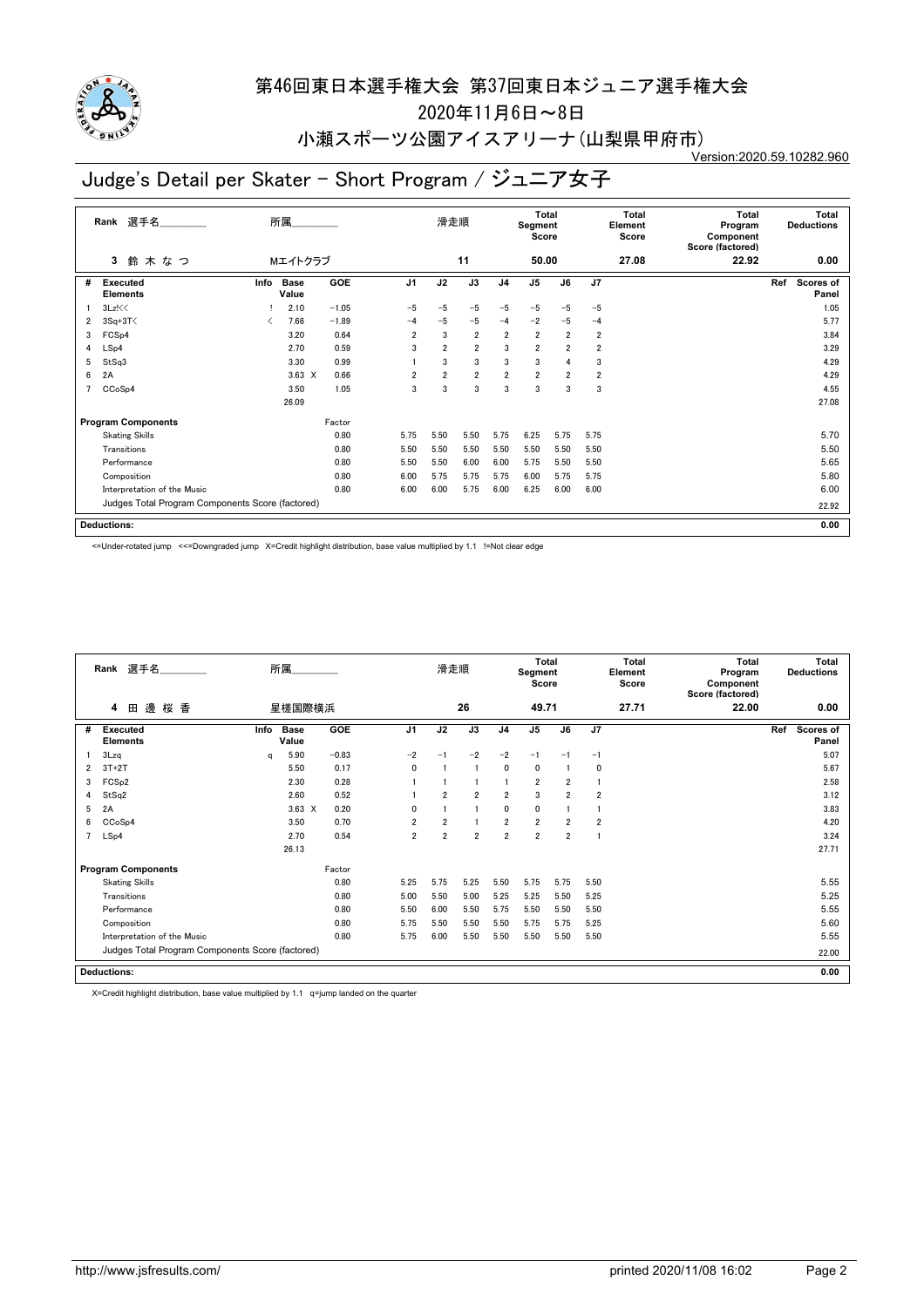

2020年11月6日~8日

#### 小瀬スポーツ公園アイスアリーナ(山梨県甲府市) Version:2020.59.10282.960

# Judge's Detail per Skater - Short Program / ジュニア女子

|                | 選手名<br>Rank<br>鈴木なつ<br>3                         |      | 所属<br>Mエイトクラブ        |            |                | 滑走順            | 11             |                | <b>Total</b><br>Segment<br>Score<br>50.00 |                         |                | <b>Total</b><br>Element<br>Score<br>27.08 | <b>Total</b><br>Program<br>Component<br>Score (factored)<br>22.92 | Total<br><b>Deductions</b><br>0.00 |
|----------------|--------------------------------------------------|------|----------------------|------------|----------------|----------------|----------------|----------------|-------------------------------------------|-------------------------|----------------|-------------------------------------------|-------------------------------------------------------------------|------------------------------------|
|                |                                                  |      |                      |            |                |                |                |                |                                           |                         |                |                                           |                                                                   |                                    |
| #              | Executed<br><b>Elements</b>                      | Info | <b>Base</b><br>Value | <b>GOE</b> | J <sub>1</sub> | J2             | J3             | J <sub>4</sub> | J <sub>5</sub>                            | J6                      | J7             |                                           |                                                                   | Ref<br>Scores of<br>Panel          |
|                | 3Lz!<<                                           |      | 2.10                 | $-1.05$    | $-5$           | $-5$           | $-5$           | $-5$           | $-5$                                      | $-5$                    | $-5$           |                                           |                                                                   | 1.05                               |
| 2              | $3Sq+3T$                                         | ≺    | 7.66                 | $-1.89$    | $-4$           | $-5$           | $-5$           | $-4$           | $-2$                                      | $-5$                    | $-4$           |                                           |                                                                   | 5.77                               |
| 3              | FCS <sub>p4</sub>                                |      | 3.20                 | 0.64       | $\overline{2}$ | 3              | $\overline{2}$ | $\overline{2}$ | $\overline{\mathbf{2}}$                   | $\overline{\mathbf{2}}$ | $\overline{2}$ |                                           |                                                                   | 3.84                               |
| 4              | LSp4                                             |      | 2.70                 | 0.59       | 3              | $\overline{2}$ | $\overline{2}$ | 3              | $\overline{2}$                            | $\overline{2}$          | 2              |                                           |                                                                   | 3.29                               |
| 5              | StSq3                                            |      | 3.30                 | 0.99       |                | 3              | 3              | 3              | 3                                         | 4                       | 3              |                                           |                                                                   | 4.29                               |
| 6              | 2A                                               |      | $3.63 \times$        | 0.66       | $\overline{2}$ | $\overline{2}$ | $\overline{2}$ | $\overline{2}$ | $\overline{\mathbf{2}}$                   | $\overline{2}$          | $\overline{2}$ |                                           |                                                                   | 4.29                               |
| $\overline{7}$ | CCoSp4                                           |      | 3.50                 | 1.05       | 3              | 3              | 3              | 3              | 3                                         | 3                       | 3              |                                           |                                                                   | 4.55                               |
|                |                                                  |      | 26.09                |            |                |                |                |                |                                           |                         |                |                                           |                                                                   | 27.08                              |
|                | <b>Program Components</b>                        |      |                      | Factor     |                |                |                |                |                                           |                         |                |                                           |                                                                   |                                    |
|                | <b>Skating Skills</b>                            |      |                      | 0.80       | 5.75           | 5.50           | 5.50           | 5.75           | 6.25                                      | 5.75                    | 5.75           |                                           |                                                                   | 5.70                               |
|                | Transitions                                      |      |                      | 0.80       | 5.50           | 5.50           | 5.50           | 5.50           | 5.50                                      | 5.50                    | 5.50           |                                           |                                                                   | 5.50                               |
|                | Performance                                      |      |                      | 0.80       | 5.50           | 5.50           | 6.00           | 6.00           | 5.75                                      | 5.50                    | 5.50           |                                           |                                                                   | 5.65                               |
|                | Composition                                      |      |                      | 0.80       | 6.00           | 5.75           | 5.75           | 5.75           | 6.00                                      | 5.75                    | 5.75           |                                           |                                                                   | 5.80                               |
|                | Interpretation of the Music                      |      |                      | 0.80       | 6.00           | 6.00           | 5.75           | 6.00           | 6.25                                      | 6.00                    | 6.00           |                                           |                                                                   | 6.00                               |
|                | Judges Total Program Components Score (factored) |      |                      |            |                |                |                |                |                                           |                         |                |                                           |                                                                   | 22.92                              |
|                | <b>Deductions:</b>                               |      |                      |            |                |                |                |                |                                           |                         |                |                                           |                                                                   | 0.00                               |

<=Under-rotated jump <<=Downgraded jump X=Credit highlight distribution, base value multiplied by 1.1 !=Not clear edge

|                | Rank 選手名                                         |      | 所属.                  |         |                | 滑走順            |                |                | <b>Total</b><br>Segment<br>Score |                |      | <b>Total</b><br>Element<br>Score | Total<br>Program<br>Component<br>Score (factored) | Total<br><b>Deductions</b> |
|----------------|--------------------------------------------------|------|----------------------|---------|----------------|----------------|----------------|----------------|----------------------------------|----------------|------|----------------------------------|---------------------------------------------------|----------------------------|
|                | 邊<br>桜 香<br>田<br>4                               |      | 星槎国際横浜               |         |                |                | 26             |                | 49.71                            |                |      | 27.71                            | 22.00                                             | 0.00                       |
| #              | Executed<br><b>Elements</b>                      | Info | <b>Base</b><br>Value | GOE     | J <sub>1</sub> | J2             | J3             | J <sub>4</sub> | J <sub>5</sub>                   | J6             | J7   |                                  |                                                   | Ref<br>Scores of<br>Panel  |
|                | 3Lzq                                             | q    | 5.90                 | $-0.83$ | $-2$           | $-1$           | $-2$           | $-2$           | $-1$                             | $-1$           | $-1$ |                                  |                                                   | 5.07                       |
| $\overline{2}$ | $3T+2T$                                          |      | 5.50                 | 0.17    | $\mathbf{0}$   |                |                | 0              | 0                                |                | 0    |                                  |                                                   | 5.67                       |
| 3              | FCS <sub>p2</sub>                                |      | 2.30                 | 0.28    |                |                |                |                | $\overline{\mathbf{2}}$          | $\overline{2}$ |      |                                  |                                                   | 2.58                       |
| 4              | StSq2                                            |      | 2.60                 | 0.52    |                | $\overline{2}$ | $\overline{2}$ | $\overline{2}$ | 3                                | $\overline{2}$ | 2    |                                  |                                                   | 3.12                       |
| 5              | 2A                                               |      | $3.63 \times$        | 0.20    | $\mathbf{0}$   |                |                | 0              | 0                                |                |      |                                  |                                                   | 3.83                       |
| 6              | CCoSp4                                           |      | 3.50                 | 0.70    | $\overline{2}$ | $\overline{2}$ |                | $\overline{2}$ | $\overline{2}$                   | $\overline{2}$ | 2    |                                  |                                                   | 4.20                       |
| 7              | LSp4                                             |      | 2.70                 | 0.54    | $\overline{2}$ | $\overline{2}$ | $\overline{2}$ | $\overline{2}$ | $\overline{2}$                   | $\overline{2}$ |      |                                  |                                                   | 3.24                       |
|                |                                                  |      | 26.13                |         |                |                |                |                |                                  |                |      |                                  |                                                   | 27.71                      |
|                | <b>Program Components</b>                        |      |                      | Factor  |                |                |                |                |                                  |                |      |                                  |                                                   |                            |
|                | <b>Skating Skills</b>                            |      |                      | 0.80    | 5.25           | 5.75           | 5.25           | 5.50           | 5.75                             | 5.75           | 5.50 |                                  |                                                   | 5.55                       |
|                | Transitions                                      |      |                      | 0.80    | 5.00           | 5.50           | 5.00           | 5.25           | 5.25                             | 5.50           | 5.25 |                                  |                                                   | 5.25                       |
|                | Performance                                      |      |                      | 0.80    | 5.50           | 6.00           | 5.50           | 5.75           | 5.50                             | 5.50           | 5.50 |                                  |                                                   | 5.55                       |
|                | Composition                                      |      |                      | 0.80    | 5.75           | 5.50           | 5.50           | 5.50           | 5.75                             | 5.75           | 5.25 |                                  |                                                   | 5.60                       |
|                | Interpretation of the Music                      |      |                      | 0.80    | 5.75           | 6.00           | 5.50           | 5.50           | 5.50                             | 5.50           | 5.50 |                                  |                                                   | 5.55                       |
|                | Judges Total Program Components Score (factored) |      |                      |         |                |                |                |                |                                  |                |      |                                  |                                                   | 22.00                      |
|                | <b>Deductions:</b>                               |      |                      |         |                |                |                |                |                                  |                |      |                                  |                                                   | 0.00                       |

X=Credit highlight distribution, base value multiplied by 1.1 q=jump landed on the quarter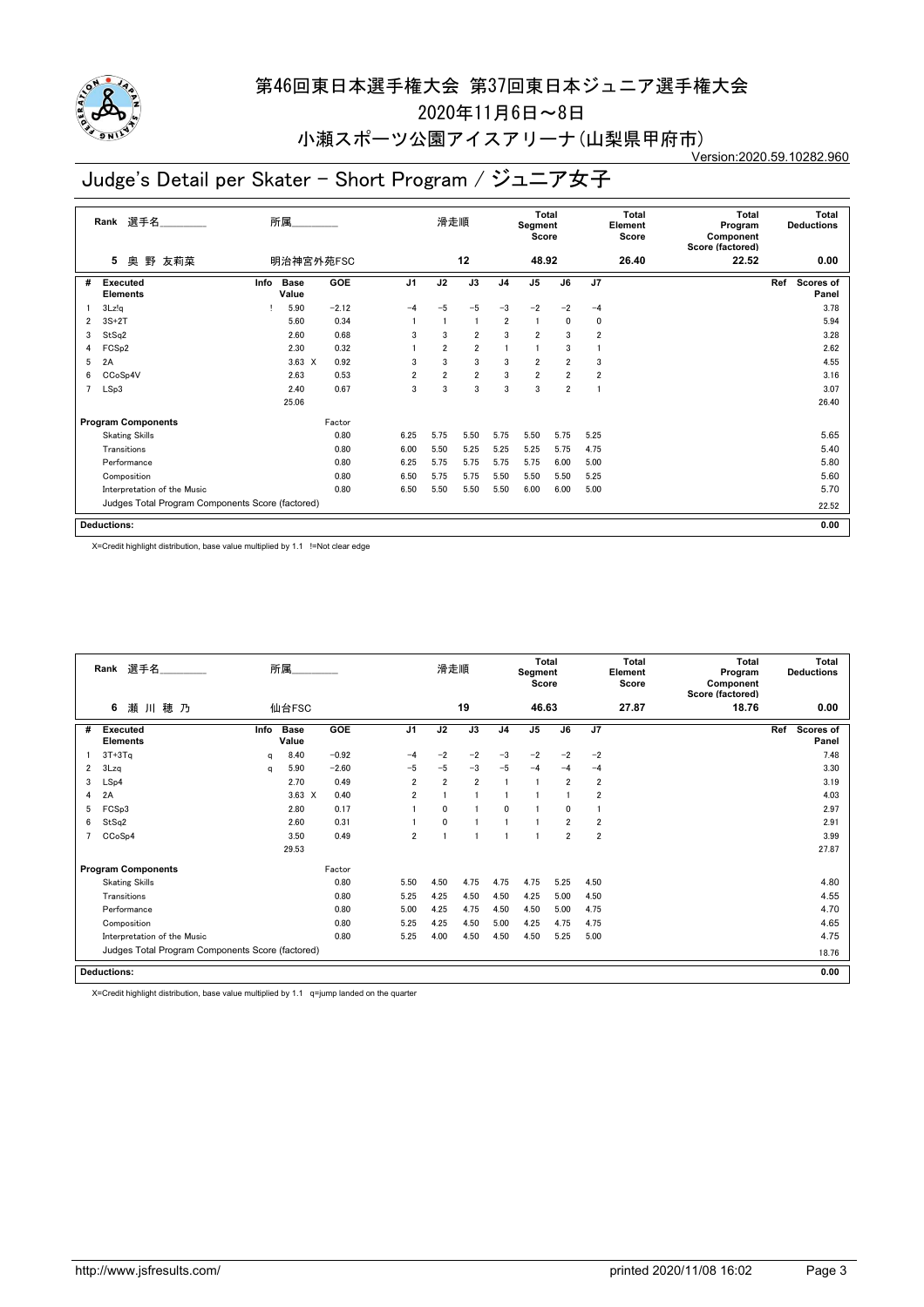

2020年11月6日~8日

#### 小瀬スポーツ公園アイスアリーナ(山梨県甲府市) Version:2020.59.10282.960

# Judge's Detail per Skater - Short Program / ジュニア女子

|                | 選手名<br>Rank                                      |      | 所属                   |            |                | 滑走順            |                |                | Total<br>Segment<br>Score |                |                | Total<br>Element<br>Score | Total<br>Program<br>Component<br>Score (factored) |     | Total<br><b>Deductions</b> |
|----------------|--------------------------------------------------|------|----------------------|------------|----------------|----------------|----------------|----------------|---------------------------|----------------|----------------|---------------------------|---------------------------------------------------|-----|----------------------------|
|                | 奥 野 友莉菜<br>5                                     |      | 明治神宮外苑FSC            |            |                |                | 12             |                | 48.92                     |                |                | 26.40                     | 22.52                                             |     | 0.00                       |
| #              | Executed<br><b>Elements</b>                      | Info | <b>Base</b><br>Value | <b>GOE</b> | J <sub>1</sub> | J2             | J3             | J <sub>4</sub> | J <sub>5</sub>            | J6             | J <sub>7</sub> |                           |                                                   | Ref | Scores of<br>Panel         |
|                | 3Lz!q                                            |      | 5.90                 | $-2.12$    | $-4$           | $-5$           | $-5$           | $-3$           | $-2$                      | $-2$           | $-4$           |                           |                                                   |     | 3.78                       |
| $\overline{2}$ | $3S+2T$                                          |      | 5.60                 | 0.34       |                |                | $\overline{1}$ | $\overline{2}$ | $\overline{1}$            | 0              | 0              |                           |                                                   |     | 5.94                       |
| 3              | StSq2                                            |      | 2.60                 | 0.68       | 3              | 3              | $\overline{2}$ | 3              | $\overline{2}$            | 3              | 2              |                           |                                                   |     | 3.28                       |
| 4              | FCS <sub>p2</sub>                                |      | 2.30                 | 0.32       |                | $\overline{2}$ | $\overline{2}$ |                |                           | 3              |                |                           |                                                   |     | 2.62                       |
| 5              | 2A                                               |      | $3.63 \times$        | 0.92       | 3              | 3              | 3              | 3              | $\overline{2}$            | $\overline{2}$ | 3              |                           |                                                   |     | 4.55                       |
| 6              | CCoSp4V                                          |      | 2.63                 | 0.53       | $\overline{2}$ | $\overline{2}$ | $\overline{2}$ | 3              | $\overline{\mathbf{2}}$   | $\overline{2}$ | $\overline{2}$ |                           |                                                   |     | 3.16                       |
| $\overline{7}$ | LSp3                                             |      | 2.40                 | 0.67       | 3              | 3              | 3              | 3              | 3                         | $\overline{2}$ |                |                           |                                                   |     | 3.07                       |
|                |                                                  |      | 25.06                |            |                |                |                |                |                           |                |                |                           |                                                   |     | 26.40                      |
|                | <b>Program Components</b>                        |      |                      | Factor     |                |                |                |                |                           |                |                |                           |                                                   |     |                            |
|                | <b>Skating Skills</b>                            |      |                      | 0.80       | 6.25           | 5.75           | 5.50           | 5.75           | 5.50                      | 5.75           | 5.25           |                           |                                                   |     | 5.65                       |
|                | Transitions                                      |      |                      | 0.80       | 6.00           | 5.50           | 5.25           | 5.25           | 5.25                      | 5.75           | 4.75           |                           |                                                   |     | 5.40                       |
|                | Performance                                      |      |                      | 0.80       | 6.25           | 5.75           | 5.75           | 5.75           | 5.75                      | 6.00           | 5.00           |                           |                                                   |     | 5.80                       |
|                | Composition                                      |      |                      | 0.80       | 6.50           | 5.75           | 5.75           | 5.50           | 5.50                      | 5.50           | 5.25           |                           |                                                   |     | 5.60                       |
|                | Interpretation of the Music                      |      |                      | 0.80       | 6.50           | 5.50           | 5.50           | 5.50           | 6.00                      | 6.00           | 5.00           |                           |                                                   |     | 5.70                       |
|                | Judges Total Program Components Score (factored) |      |                      |            |                |                |                |                |                           |                |                |                           |                                                   |     | 22.52                      |
|                | <b>Deductions:</b>                               |      |                      |            |                |                |                |                |                           |                |                |                           |                                                   |     | 0.00                       |

X=Credit highlight distribution, base value multiplied by 1.1 !=Not clear edge

|   | 選手名<br>Rank                                      |      | 所属                   |         |                | 滑走順            |                |                | <b>Total</b><br>Segment<br>Score |                |                | <b>Total</b><br>Element<br>Score | <b>Total</b><br>Program<br>Component<br>Score (factored) | <b>Total</b><br><b>Deductions</b> |
|---|--------------------------------------------------|------|----------------------|---------|----------------|----------------|----------------|----------------|----------------------------------|----------------|----------------|----------------------------------|----------------------------------------------------------|-----------------------------------|
|   | 6<br>瀬川穂乃                                        |      | 仙台FSC                |         |                |                | 19             |                | 46.63                            |                |                | 27.87                            | 18.76                                                    | 0.00                              |
| # | Executed<br><b>Elements</b>                      | Info | <b>Base</b><br>Value | GOE     | J <sub>1</sub> | J2             | J3             | J <sub>4</sub> | J <sub>5</sub>                   | J6             | J7             |                                  |                                                          | Ref<br>Scores of<br>Panel         |
|   | $3T+3Tq$                                         | q    | 8.40                 | $-0.92$ | $-4$           | $-2$           | $-2$           | $-3$           | $-2$                             | $-2$           | $-2$           |                                  |                                                          | 7.48                              |
| 2 | 3Lzq                                             | q    | 5.90                 | $-2.60$ | $-5$           | $-5$           | $-3$           | $-5$           | $-4$                             | $-4$           | $-4$           |                                  |                                                          | 3.30                              |
| 3 | LSp4                                             |      | 2.70                 | 0.49    | $\overline{2}$ | $\overline{2}$ | $\overline{2}$ |                |                                  | $\overline{2}$ | $\overline{2}$ |                                  |                                                          | 3.19                              |
| 4 | 2A                                               |      | $3.63 \times$        | 0.40    | $\overline{2}$ |                |                |                |                                  |                | $\overline{2}$ |                                  |                                                          | 4.03                              |
| 5 | FCSp3                                            |      | 2.80                 | 0.17    |                | $\mathbf{0}$   |                | $\mathbf{0}$   |                                  | 0              |                |                                  |                                                          | 2.97                              |
| 6 | StSq2                                            |      | 2.60                 | 0.31    |                | $\mathbf{0}$   |                |                |                                  | $\overline{2}$ | $\overline{2}$ |                                  |                                                          | 2.91                              |
|   | CCoSp4                                           |      | 3.50                 | 0.49    | $\overline{2}$ |                |                |                |                                  | $\overline{2}$ | $\overline{2}$ |                                  |                                                          | 3.99                              |
|   |                                                  |      | 29.53                |         |                |                |                |                |                                  |                |                |                                  |                                                          | 27.87                             |
|   | <b>Program Components</b>                        |      |                      | Factor  |                |                |                |                |                                  |                |                |                                  |                                                          |                                   |
|   | <b>Skating Skills</b>                            |      |                      | 0.80    | 5.50           | 4.50           | 4.75           | 4.75           | 4.75                             | 5.25           | 4.50           |                                  |                                                          | 4.80                              |
|   | Transitions                                      |      |                      | 0.80    | 5.25           | 4.25           | 4.50           | 4.50           | 4.25                             | 5.00           | 4.50           |                                  |                                                          | 4.55                              |
|   | Performance                                      |      |                      | 0.80    | 5.00           | 4.25           | 4.75           | 4.50           | 4.50                             | 5.00           | 4.75           |                                  |                                                          | 4.70                              |
|   | Composition                                      |      |                      | 0.80    | 5.25           | 4.25           | 4.50           | 5.00           | 4.25                             | 4.75           | 4.75           |                                  |                                                          | 4.65                              |
|   | Interpretation of the Music                      |      |                      | 0.80    | 5.25           | 4.00           | 4.50           | 4.50           | 4.50                             | 5.25           | 5.00           |                                  |                                                          | 4.75                              |
|   | Judges Total Program Components Score (factored) |      |                      |         |                |                |                |                |                                  |                |                |                                  |                                                          | 18.76                             |
|   | <b>Deductions:</b>                               |      |                      |         |                |                |                |                |                                  |                |                |                                  |                                                          | 0.00                              |

X=Credit highlight distribution, base value multiplied by 1.1 q=jump landed on the quarter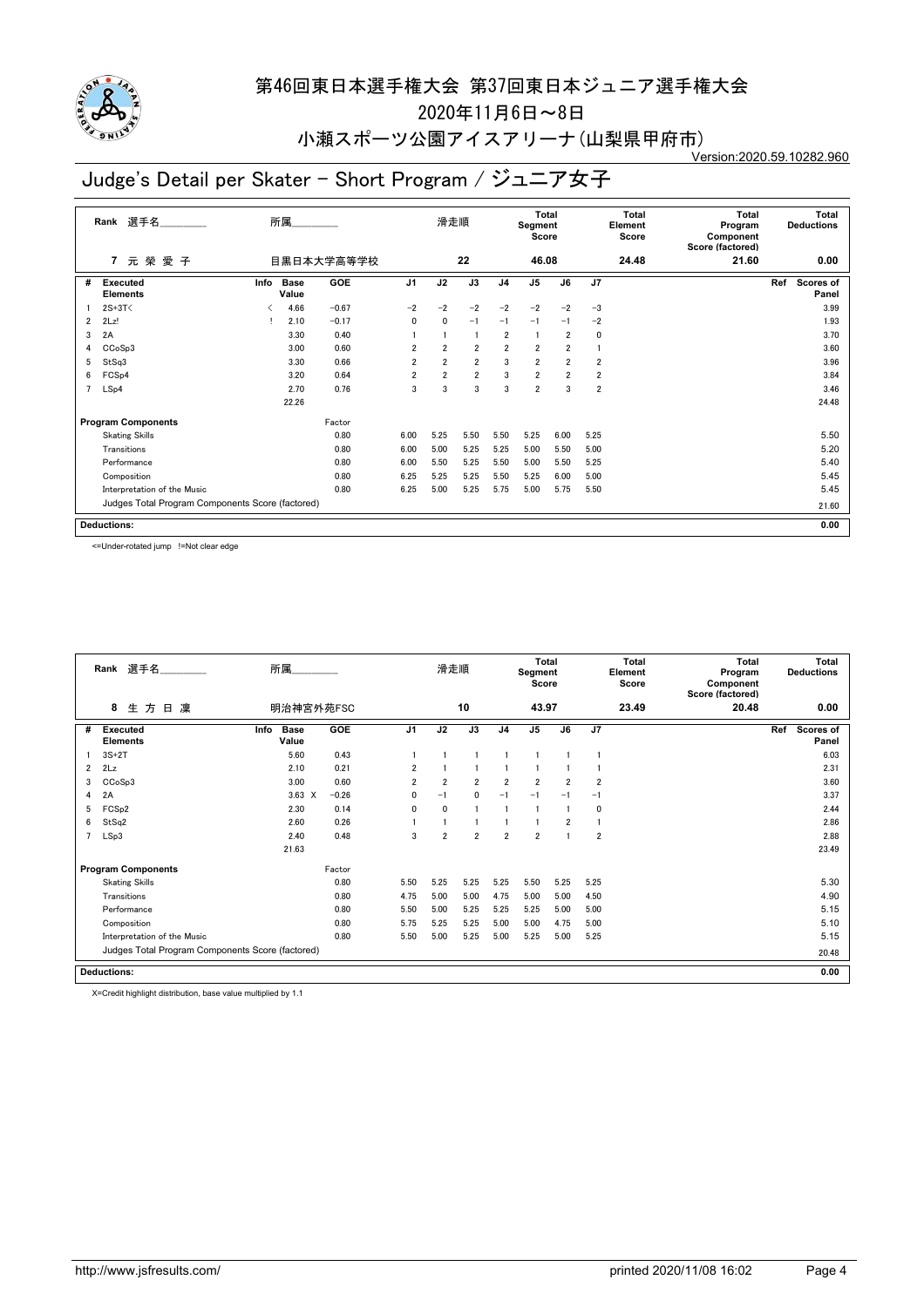

2020年11月6日~8日

小瀬スポーツ公園アイスアリーナ(山梨県甲府市) Version:2020.59.10282.960

# Judge's Detail per Skater - Short Program / ジュニア女子

|                | 選手名<br>Rank                                      |      | 所属            |            |                | 滑走順            |                |                | <b>Total</b><br>Segment<br>Score |                         |                         | Total<br>Element<br>Score | Total<br>Program<br>Component<br>Score (factored) | <b>Total</b><br><b>Deductions</b> |
|----------------|--------------------------------------------------|------|---------------|------------|----------------|----------------|----------------|----------------|----------------------------------|-------------------------|-------------------------|---------------------------|---------------------------------------------------|-----------------------------------|
|                | 元榮愛子<br>$\overline{7}$                           |      |               | 目黒日本大学高等学校 |                |                | 22             |                | 46.08                            |                         |                         | 24.48                     | 21.60                                             | 0.00                              |
| #              | <b>Executed</b><br><b>Elements</b>               | Info | Base<br>Value | GOE        | J <sub>1</sub> | J2             | J3             | J <sub>4</sub> | J <sub>5</sub>                   | J6                      | J <sub>7</sub>          |                           |                                                   | Ref<br>Scores of<br>Panel         |
|                | $2S+3T<$                                         |      | 4.66          | $-0.67$    | $-2$           | $-2$           | $-2$           | $-2$           | $-2$                             | $-2$                    | $-3$                    |                           |                                                   | 3.99                              |
| $\overline{2}$ | 2Lz!                                             |      | 2.10          | $-0.17$    | $\mathbf{0}$   | 0              | $-1$           | $-1$           | $-1$                             | $-1$                    | $-2$                    |                           |                                                   | 1.93                              |
| 3              | 2A                                               |      | 3.30          | 0.40       |                |                |                | $\overline{2}$ | -1                               | $\overline{2}$          | 0                       |                           |                                                   | 3.70                              |
| 4              | CCoSp3                                           |      | 3.00          | 0.60       | $\overline{2}$ | $\overline{2}$ | $\overline{2}$ | $\overline{2}$ | $\overline{2}$                   | $\overline{2}$          |                         |                           |                                                   | 3.60                              |
| 5              | StSq3                                            |      | 3.30          | 0.66       | $\overline{2}$ | $\overline{2}$ | $\overline{2}$ | 3              | $\overline{2}$                   | $\overline{2}$          | $\overline{2}$          |                           |                                                   | 3.96                              |
| 6              | FCS <sub>p4</sub>                                |      | 3.20          | 0.64       | $\overline{2}$ | $\overline{2}$ | $\overline{2}$ | 3              | $\overline{\mathbf{2}}$          | $\overline{\mathbf{2}}$ | $\overline{2}$          |                           |                                                   | 3.84                              |
| $\overline{7}$ | LSp4                                             |      | 2.70          | 0.76       | 3              | 3              | 3              | 3              | $\overline{2}$                   | 3                       | $\overline{\mathbf{2}}$ |                           |                                                   | 3.46                              |
|                |                                                  |      | 22.26         |            |                |                |                |                |                                  |                         |                         |                           |                                                   | 24.48                             |
|                | <b>Program Components</b>                        |      |               | Factor     |                |                |                |                |                                  |                         |                         |                           |                                                   |                                   |
|                | <b>Skating Skills</b>                            |      |               | 0.80       | 6.00           | 5.25           | 5.50           | 5.50           | 5.25                             | 6.00                    | 5.25                    |                           |                                                   | 5.50                              |
|                | Transitions                                      |      |               | 0.80       | 6.00           | 5.00           | 5.25           | 5.25           | 5.00                             | 5.50                    | 5.00                    |                           |                                                   | 5.20                              |
|                | Performance                                      |      |               | 0.80       | 6.00           | 5.50           | 5.25           | 5.50           | 5.00                             | 5.50                    | 5.25                    |                           |                                                   | 5.40                              |
|                | Composition                                      |      |               | 0.80       | 6.25           | 5.25           | 5.25           | 5.50           | 5.25                             | 6.00                    | 5.00                    |                           |                                                   | 5.45                              |
|                | Interpretation of the Music                      |      |               | 0.80       | 6.25           | 5.00           | 5.25           | 5.75           | 5.00                             | 5.75                    | 5.50                    |                           |                                                   | 5.45                              |
|                | Judges Total Program Components Score (factored) |      |               |            |                |                |                |                |                                  |                         |                         |                           |                                                   | 21.60                             |
|                | <b>Deductions:</b>                               |      |               |            |                |                |                |                |                                  |                         |                         |                           |                                                   | 0.00                              |

<=Under-rotated jump !=Not clear edge

|                | Rank 選手名                                         | 所属                           |         |                | 滑走順            |                |                | <b>Total</b><br>Segment<br>Score |                |                | <b>Total</b><br>Element<br>Score | <b>Total</b><br>Program<br>Component<br>Score (factored) | <b>Total</b><br><b>Deductions</b> |
|----------------|--------------------------------------------------|------------------------------|---------|----------------|----------------|----------------|----------------|----------------------------------|----------------|----------------|----------------------------------|----------------------------------------------------------|-----------------------------------|
|                | 8<br>生方<br>凜<br>日                                | 明治神宮外苑FSC                    |         |                |                | 10             |                | 43.97                            |                |                | 23.49                            | 20.48                                                    | 0.00                              |
| #              | <b>Executed</b><br><b>Elements</b>               | <b>Base</b><br>Info<br>Value | GOE     | J <sub>1</sub> | J2             | J3             | J <sub>4</sub> | J <sub>5</sub>                   | J6             | J7             |                                  |                                                          | Ref<br><b>Scores of</b><br>Panel  |
|                | $3S+2T$                                          | 5.60                         | 0.43    |                |                |                |                |                                  |                |                |                                  |                                                          | 6.03                              |
| $\overline{2}$ | 2Lz                                              | 2.10                         | 0.21    | $\overline{2}$ |                |                |                |                                  |                |                |                                  |                                                          | 2.31                              |
| 3              | CCoSp3                                           | 3.00                         | 0.60    | $\overline{2}$ | $\overline{2}$ | $\overline{2}$ | $\overline{2}$ | $\overline{2}$                   | $\overline{2}$ | $\overline{2}$ |                                  |                                                          | 3.60                              |
| 4              | 2A                                               | $3.63 \times$                | $-0.26$ | 0              | $-1$           | $\mathbf{0}$   | $-1$           | $-1$                             | $-1$           | $-1$           |                                  |                                                          | 3.37                              |
| 5              | FCS <sub>p2</sub>                                | 2.30                         | 0.14    | $\mathbf{0}$   | $\mathbf{0}$   |                |                |                                  |                | 0              |                                  |                                                          | 2.44                              |
| 6              | StSq2                                            | 2.60                         | 0.26    |                |                |                |                |                                  | $\overline{2}$ |                |                                  |                                                          | 2.86                              |
|                | LSp3                                             | 2.40                         | 0.48    | 3              | $\overline{2}$ | $\overline{2}$ | $\overline{2}$ | $\overline{2}$                   |                | $\overline{2}$ |                                  |                                                          | 2.88                              |
|                |                                                  | 21.63                        |         |                |                |                |                |                                  |                |                |                                  |                                                          | 23.49                             |
|                | <b>Program Components</b>                        |                              | Factor  |                |                |                |                |                                  |                |                |                                  |                                                          |                                   |
|                | <b>Skating Skills</b>                            |                              | 0.80    | 5.50           | 5.25           | 5.25           | 5.25           | 5.50                             | 5.25           | 5.25           |                                  |                                                          | 5.30                              |
|                | Transitions                                      |                              | 0.80    | 4.75           | 5.00           | 5.00           | 4.75           | 5.00                             | 5.00           | 4.50           |                                  |                                                          | 4.90                              |
|                | Performance                                      |                              | 0.80    | 5.50           | 5.00           | 5.25           | 5.25           | 5.25                             | 5.00           | 5.00           |                                  |                                                          | 5.15                              |
|                | Composition                                      |                              | 0.80    | 5.75           | 5.25           | 5.25           | 5.00           | 5.00                             | 4.75           | 5.00           |                                  |                                                          | 5.10                              |
|                | Interpretation of the Music                      |                              | 0.80    | 5.50           | 5.00           | 5.25           | 5.00           | 5.25                             | 5.00           | 5.25           |                                  |                                                          | 5.15                              |
|                | Judges Total Program Components Score (factored) |                              |         |                |                |                |                |                                  |                |                |                                  |                                                          | 20.48                             |
|                | <b>Deductions:</b>                               |                              |         |                |                |                |                |                                  |                |                |                                  |                                                          | 0.00                              |

X=Credit highlight distribution, base value multiplied by 1.1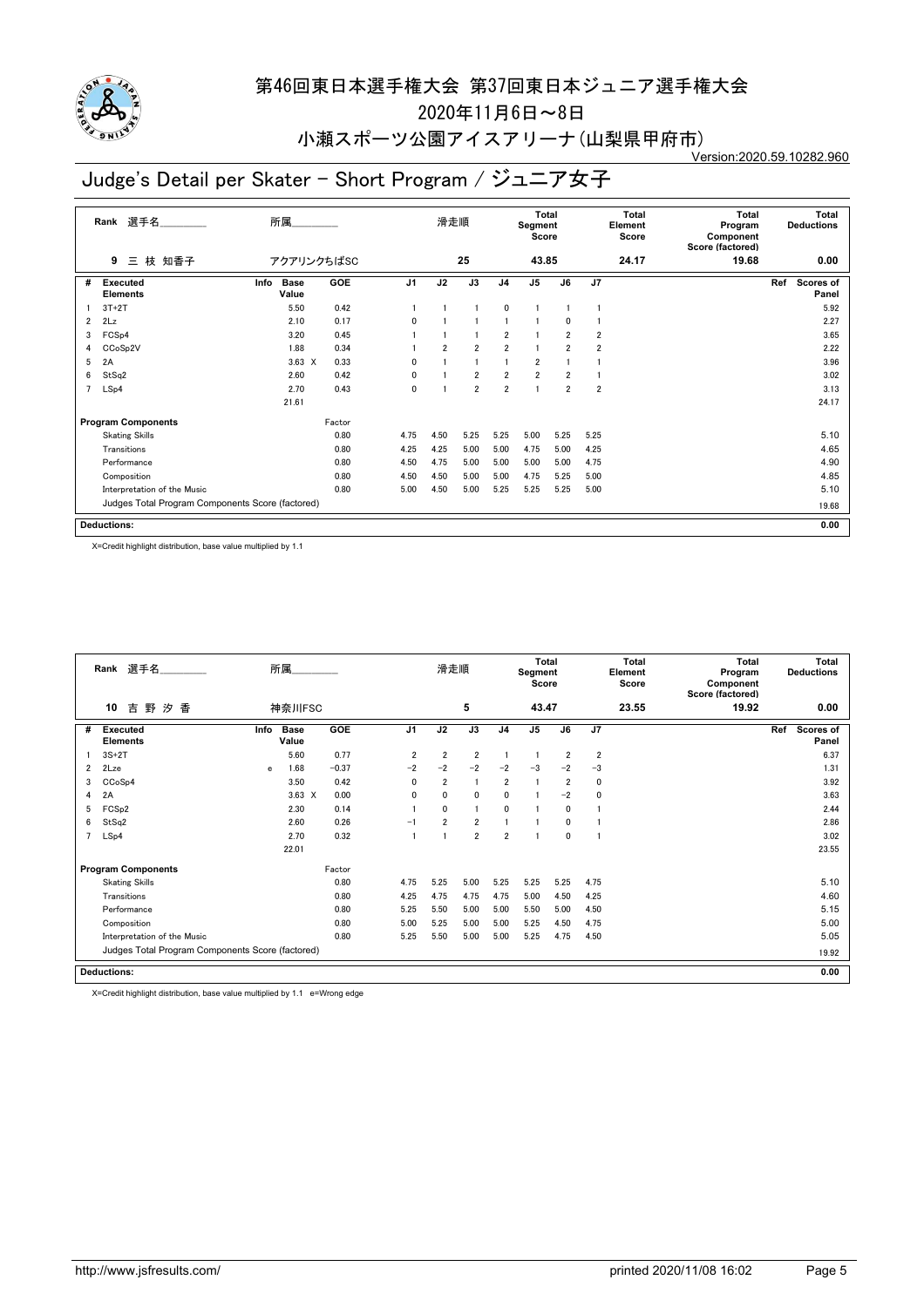

2020年11月6日~8日

#### 小瀬スポーツ公園アイスアリーナ(山梨県甲府市) Version:2020.59.10282.960

# Judge's Detail per Skater - Short Program / ジュニア女子

|                | Rank 選手名                                         | 所属                           |            |                | 滑走順            |                |                | Total<br>Segment<br>Score |                |                | Total<br>Element<br>Score | Total<br>Program<br>Component<br>Score (factored) | Total<br><b>Deductions</b> |  |
|----------------|--------------------------------------------------|------------------------------|------------|----------------|----------------|----------------|----------------|---------------------------|----------------|----------------|---------------------------|---------------------------------------------------|----------------------------|--|
|                | 三 枝 知香子<br>9                                     | アクアリンクちばSC                   |            |                |                | 25             |                | 43.85                     |                |                | 24.17                     | 19.68                                             | 0.00                       |  |
| #              | Executed<br><b>Elements</b>                      | Info<br><b>Base</b><br>Value | <b>GOE</b> | J <sub>1</sub> | J2             | J3             | J <sub>4</sub> | J <sub>5</sub>            | J6             | $\overline{J}$ |                           |                                                   | Ref<br>Scores of<br>Panel  |  |
|                | $3T+2T$                                          | 5.50                         | 0.42       |                |                |                | 0              |                           |                |                |                           |                                                   | 5.92                       |  |
| $\overline{2}$ | 2Lz                                              | 2.10                         | 0.17       | $\Omega$       |                |                |                |                           | 0              |                |                           |                                                   | 2.27                       |  |
| 3              | FCS <sub>p4</sub>                                | 3.20                         | 0.45       |                |                |                | $\overline{2}$ |                           | $\overline{2}$ | 2              |                           |                                                   | 3.65                       |  |
| 4              | CCoSp2V                                          | 1.88                         | 0.34       |                | $\overline{2}$ | $\overline{2}$ | $\overline{2}$ |                           | 2              | 2              |                           |                                                   | 2.22                       |  |
| 5              | 2A                                               | $3.63 \times$                | 0.33       | 0              |                |                |                | $\overline{2}$            |                |                |                           |                                                   | 3.96                       |  |
| 6              | StSq2                                            | 2.60                         | 0.42       | 0              |                | $\overline{2}$ | $\overline{2}$ | $\overline{2}$            | $\overline{2}$ |                |                           |                                                   | 3.02                       |  |
| $\overline{7}$ | LSp4                                             | 2.70                         | 0.43       | $\mathbf 0$    |                | $\overline{2}$ | $\overline{2}$ | 1                         | $\overline{2}$ | $\overline{2}$ |                           |                                                   | 3.13                       |  |
|                |                                                  | 21.61                        |            |                |                |                |                |                           |                |                |                           |                                                   | 24.17                      |  |
|                | <b>Program Components</b>                        |                              | Factor     |                |                |                |                |                           |                |                |                           |                                                   |                            |  |
|                | <b>Skating Skills</b>                            |                              | 0.80       | 4.75           | 4.50           | 5.25           | 5.25           | 5.00                      | 5.25           | 5.25           |                           |                                                   | 5.10                       |  |
|                | Transitions                                      |                              | 0.80       | 4.25           | 4.25           | 5.00           | 5.00           | 4.75                      | 5.00           | 4.25           |                           |                                                   | 4.65                       |  |
|                | Performance                                      |                              | 0.80       | 4.50           | 4.75           | 5.00           | 5.00           | 5.00                      | 5.00           | 4.75           |                           |                                                   | 4.90                       |  |
|                | Composition                                      |                              | 0.80       | 4.50           | 4.50           | 5.00           | 5.00           | 4.75                      | 5.25           | 5.00           |                           |                                                   | 4.85                       |  |
|                | Interpretation of the Music                      |                              | 0.80       | 5.00           | 4.50           | 5.00           | 5.25           | 5.25                      | 5.25           | 5.00           |                           |                                                   | 5.10                       |  |
|                | Judges Total Program Components Score (factored) |                              |            |                |                |                |                |                           |                |                |                           |                                                   | 19.68                      |  |
|                | <b>Deductions:</b>                               |                              |            |                |                |                |                |                           |                |                |                           |                                                   | 0.00                       |  |

X=Credit highlight distribution, base value multiplied by 1.1

|                | Rank 選手名                                         |      | 所属                   |            |                | 滑走順            |                |                | <b>Total</b><br>Segment<br>Score |                |                         | Total<br>Element<br>Score | <b>Total</b><br>Program<br>Component<br>Score (factored) | Total<br><b>Deductions</b> |
|----------------|--------------------------------------------------|------|----------------------|------------|----------------|----------------|----------------|----------------|----------------------------------|----------------|-------------------------|---------------------------|----------------------------------------------------------|----------------------------|
|                | 10<br>吉<br>野<br>香<br>汐                           |      | 神奈川FSC               |            |                |                | 5              |                | 43.47                            |                |                         | 23.55                     | 19.92                                                    | 0.00                       |
| #              | <b>Executed</b><br><b>Elements</b>               | Info | <b>Base</b><br>Value | <b>GOE</b> | J <sub>1</sub> | J2             | J3             | J <sub>4</sub> | J <sub>5</sub>                   | J6             | J7                      |                           |                                                          | Ref<br>Scores of<br>Panel  |
|                | $3S+2T$                                          |      | 5.60                 | 0.77       | $\overline{2}$ | $\overline{2}$ | $\overline{2}$ |                |                                  | $\overline{2}$ | $\overline{\mathbf{2}}$ |                           |                                                          | 6.37                       |
| $\overline{2}$ | 2Lze                                             | e    | 1.68                 | $-0.37$    | $-2$           | $-2$           | $-2$           | $-2$           | $-3$                             | $-2$           | $-3$                    |                           |                                                          | 1.31                       |
| 3              | CC <sub>o</sub> S <sub>p4</sub>                  |      | 3.50                 | 0.42       | 0              | $\overline{2}$ |                | $\overline{2}$ |                                  | $\overline{2}$ | 0                       |                           |                                                          | 3.92                       |
| 4              | 2A                                               |      | $3.63 \times$        | 0.00       | 0              | 0              | 0              | 0              |                                  | $-2$           | 0                       |                           |                                                          | 3.63                       |
| 5              | FCS <sub>p2</sub>                                |      | 2.30                 | 0.14       |                | $\mathbf{0}$   | 1              | $\mathbf{0}$   |                                  | $\Omega$       |                         |                           |                                                          | 2.44                       |
| 6              | StSq2                                            |      | 2.60                 | 0.26       | $-1$           | $\overline{2}$ | $\overline{2}$ |                |                                  | $\Omega$       |                         |                           |                                                          | 2.86                       |
|                | LSp4                                             |      | 2.70                 | 0.32       |                |                | $\overline{2}$ | $\overline{2}$ |                                  | $\mathbf 0$    |                         |                           |                                                          | 3.02                       |
|                |                                                  |      | 22.01                |            |                |                |                |                |                                  |                |                         |                           |                                                          | 23.55                      |
|                | <b>Program Components</b>                        |      |                      | Factor     |                |                |                |                |                                  |                |                         |                           |                                                          |                            |
|                | <b>Skating Skills</b>                            |      |                      | 0.80       | 4.75           | 5.25           | 5.00           | 5.25           | 5.25                             | 5.25           | 4.75                    |                           |                                                          | 5.10                       |
|                | Transitions                                      |      |                      | 0.80       | 4.25           | 4.75           | 4.75           | 4.75           | 5.00                             | 4.50           | 4.25                    |                           |                                                          | 4.60                       |
|                | Performance                                      |      |                      | 0.80       | 5.25           | 5.50           | 5.00           | 5.00           | 5.50                             | 5.00           | 4.50                    |                           |                                                          | 5.15                       |
|                | Composition                                      |      |                      | 0.80       | 5.00           | 5.25           | 5.00           | 5.00           | 5.25                             | 4.50           | 4.75                    |                           |                                                          | 5.00                       |
|                | Interpretation of the Music                      |      |                      | 0.80       | 5.25           | 5.50           | 5.00           | 5.00           | 5.25                             | 4.75           | 4.50                    |                           |                                                          | 5.05                       |
|                | Judges Total Program Components Score (factored) |      |                      |            |                |                |                |                |                                  |                |                         |                           |                                                          | 19.92                      |
|                | <b>Deductions:</b>                               |      |                      |            |                |                |                |                |                                  |                |                         |                           |                                                          | 0.00                       |

X=Credit highlight distribution, base value multiplied by 1.1 e=Wrong edge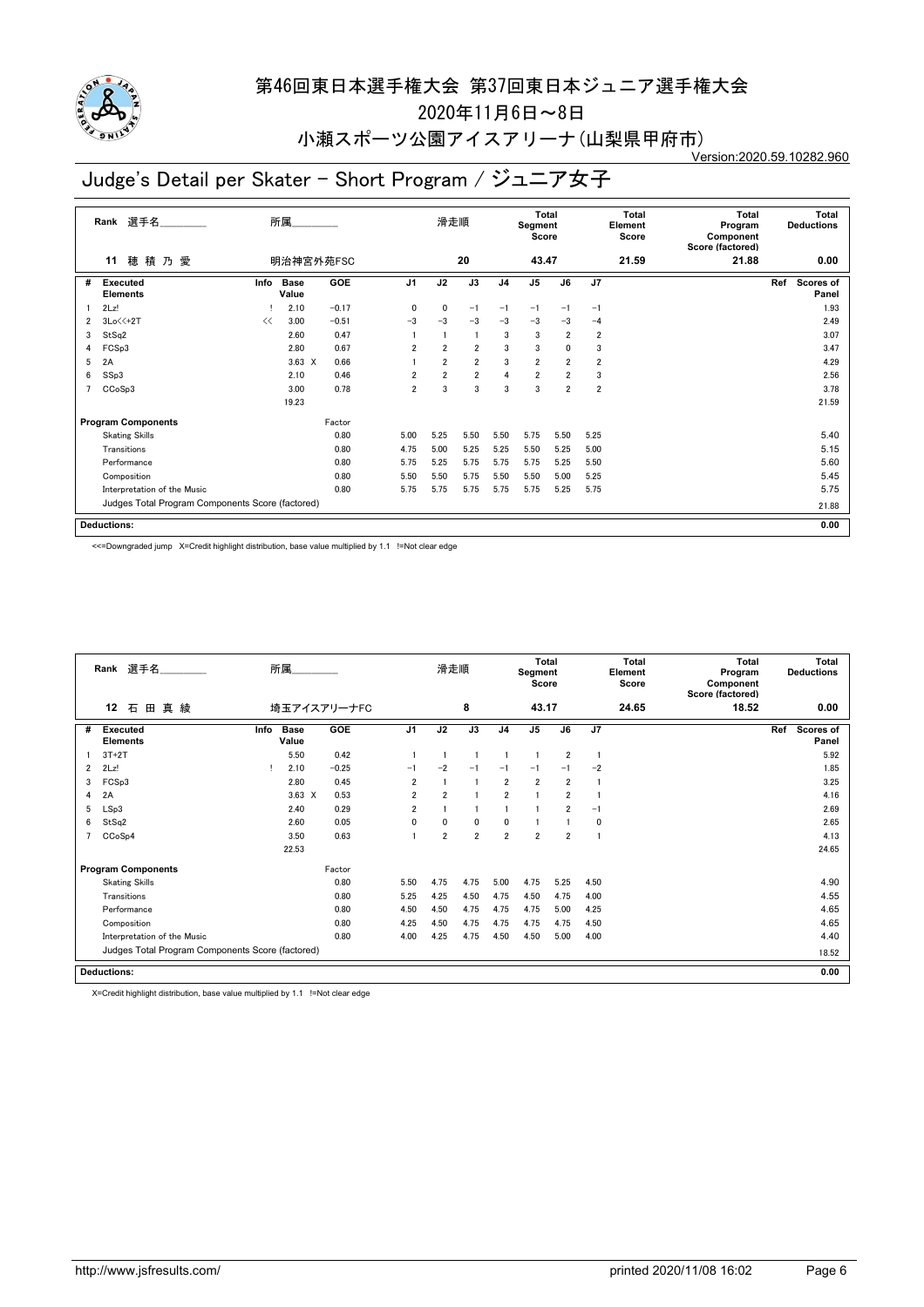

2020年11月6日~8日

#### 小瀬スポーツ公園アイスアリーナ(山梨県甲府市) Version:2020.59.10282.960

# Judge's Detail per Skater - Short Program / ジュニア女子

|                | 選手名<br>Rank                                      |      | 所属                   |         |                | 滑走順            |                |                | Total<br>Segment<br>Score |                |                         | Total<br>Element<br>Score | Total<br>Program<br>Component<br>Score (factored) | <b>Total</b><br><b>Deductions</b> |
|----------------|--------------------------------------------------|------|----------------------|---------|----------------|----------------|----------------|----------------|---------------------------|----------------|-------------------------|---------------------------|---------------------------------------------------|-----------------------------------|
|                | 穂積乃愛<br>11                                       |      | 明治神宮外苑FSC            |         |                |                | 20             |                | 43.47                     |                |                         | 21.59                     | 21.88                                             | 0.00                              |
| #              | Executed<br><b>Elements</b>                      | Info | <b>Base</b><br>Value | GOE     | J <sub>1</sub> | J2             | J3             | J <sub>4</sub> | J <sub>5</sub>            | J6             | J7                      |                           |                                                   | Ref<br><b>Scores of</b><br>Panel  |
|                | 2Lz!                                             |      | 2.10                 | $-0.17$ | 0              | 0              | $-1$           | $-1$           | $-1$                      | -1             | $-1$                    |                           |                                                   | 1.93                              |
| $\overline{2}$ | $3Lo \leq 2T$                                    | <<   | 3.00                 | $-0.51$ | $-3$           | $-3$           | $-3$           | $-3$           | $-3$                      | $-3$           | $-4$                    |                           |                                                   | 2.49                              |
| 3              | StSq2                                            |      | 2.60                 | 0.47    |                |                | $\overline{1}$ | 3              | 3                         | $\overline{2}$ | $\overline{2}$          |                           |                                                   | 3.07                              |
| 4              | FCSp3                                            |      | 2.80                 | 0.67    | $\overline{2}$ | $\overline{2}$ | $\overline{2}$ | 3              | 3                         | 0              | 3                       |                           |                                                   | 3.47                              |
| 5              | 2A                                               |      | $3.63 \times$        | 0.66    |                | $\overline{2}$ | $\overline{2}$ | 3              | $\overline{2}$            | $\overline{2}$ | $\overline{\mathbf{2}}$ |                           |                                                   | 4.29                              |
| 6              | SSp3                                             |      | 2.10                 | 0.46    | $\overline{2}$ | $\overline{2}$ | $\overline{2}$ | 4              | $\overline{2}$            | $\overline{2}$ | 3                       |                           |                                                   | 2.56                              |
|                | CCoSp3                                           |      | 3.00                 | 0.78    | $\overline{2}$ | 3              | 3              | 3              | 3                         | $\overline{2}$ | $\overline{2}$          |                           |                                                   | 3.78                              |
|                |                                                  |      | 19.23                |         |                |                |                |                |                           |                |                         |                           |                                                   | 21.59                             |
|                | <b>Program Components</b>                        |      |                      | Factor  |                |                |                |                |                           |                |                         |                           |                                                   |                                   |
|                | <b>Skating Skills</b>                            |      |                      | 0.80    | 5.00           | 5.25           | 5.50           | 5.50           | 5.75                      | 5.50           | 5.25                    |                           |                                                   | 5.40                              |
|                | Transitions                                      |      |                      | 0.80    | 4.75           | 5.00           | 5.25           | 5.25           | 5.50                      | 5.25           | 5.00                    |                           |                                                   | 5.15                              |
|                | Performance                                      |      |                      | 0.80    | 5.75           | 5.25           | 5.75           | 5.75           | 5.75                      | 5.25           | 5.50                    |                           |                                                   | 5.60                              |
|                | Composition                                      |      |                      | 0.80    | 5.50           | 5.50           | 5.75           | 5.50           | 5.50                      | 5.00           | 5.25                    |                           |                                                   | 5.45                              |
|                | Interpretation of the Music                      |      |                      | 0.80    | 5.75           | 5.75           | 5.75           | 5.75           | 5.75                      | 5.25           | 5.75                    |                           |                                                   | 5.75                              |
|                | Judges Total Program Components Score (factored) |      |                      |         |                |                |                |                |                           |                |                         |                           |                                                   | 21.88                             |
|                | <b>Deductions:</b>                               |      |                      |         |                |                |                |                |                           |                |                         |                           |                                                   | 0.00                              |

<<=Downgraded jump X=Credit highlight distribution, base value multiplied by 1.1 !=Not clear edge

|   | Rank 選手名                                         |      | 所属                   |             |                | 滑走順            |                |                | <b>Total</b><br>Segment<br>Score |                |      | Total<br>Element<br>Score | Total<br>Program<br>Component<br>Score (factored) | <b>Total</b><br><b>Deductions</b> |
|---|--------------------------------------------------|------|----------------------|-------------|----------------|----------------|----------------|----------------|----------------------------------|----------------|------|---------------------------|---------------------------------------------------|-----------------------------------|
|   | 12<br>真 綾<br>石<br>田                              |      |                      | 埼玉アイスアリーナFC |                |                | 8              |                | 43.17                            |                |      | 24.65                     | 18.52                                             | 0.00                              |
| # | <b>Executed</b><br><b>Elements</b>               | Info | <b>Base</b><br>Value | <b>GOE</b>  | J <sub>1</sub> | J2             | J3             | J <sub>4</sub> | J <sub>5</sub>                   | J6             | J7   |                           |                                                   | Ref<br>Scores of<br>Panel         |
|   | $3T+2T$                                          |      | 5.50                 | 0.42        |                |                |                |                |                                  | $\overline{2}$ | -1   |                           |                                                   | 5.92                              |
| 2 | 2Lz!                                             |      | 2.10                 | $-0.25$     | $-1$           | $-2$           | $-1$           | $-1$           | $-1$                             | $-1$           | $-2$ |                           |                                                   | 1.85                              |
| 3 | FCSp3                                            |      | 2.80                 | 0.45        | $\overline{2}$ |                |                | $\overline{2}$ | $\overline{2}$                   | $\overline{2}$ |      |                           |                                                   | 3.25                              |
| 4 | 2A                                               |      | $3.63 \times$        | 0.53        | 2              | $\overline{2}$ |                | $\overline{2}$ |                                  | $\overline{2}$ |      |                           |                                                   | 4.16                              |
| 5 | LSp3                                             |      | 2.40                 | 0.29        | 2              |                |                |                |                                  | $\overline{2}$ | $-1$ |                           |                                                   | 2.69                              |
| 6 | StSq2                                            |      | 2.60                 | 0.05        | 0              | $\mathbf{0}$   | 0              | $\mathbf 0$    |                                  |                | 0    |                           |                                                   | 2.65                              |
|   | CCoSp4                                           |      | 3.50                 | 0.63        |                | $\overline{2}$ | $\overline{2}$ | $\overline{2}$ | $\overline{2}$                   | $\overline{2}$ |      |                           |                                                   | 4.13                              |
|   |                                                  |      | 22.53                |             |                |                |                |                |                                  |                |      |                           |                                                   | 24.65                             |
|   | <b>Program Components</b>                        |      |                      | Factor      |                |                |                |                |                                  |                |      |                           |                                                   |                                   |
|   | <b>Skating Skills</b>                            |      |                      | 0.80        | 5.50           | 4.75           | 4.75           | 5.00           | 4.75                             | 5.25           | 4.50 |                           |                                                   | 4.90                              |
|   | Transitions                                      |      |                      | 0.80        | 5.25           | 4.25           | 4.50           | 4.75           | 4.50                             | 4.75           | 4.00 |                           |                                                   | 4.55                              |
|   | Performance                                      |      |                      | 0.80        | 4.50           | 4.50           | 4.75           | 4.75           | 4.75                             | 5.00           | 4.25 |                           |                                                   | 4.65                              |
|   | Composition                                      |      |                      | 0.80        | 4.25           | 4.50           | 4.75           | 4.75           | 4.75                             | 4.75           | 4.50 |                           |                                                   | 4.65                              |
|   | Interpretation of the Music                      |      |                      | 0.80        | 4.00           | 4.25           | 4.75           | 4.50           | 4.50                             | 5.00           | 4.00 |                           |                                                   | 4.40                              |
|   | Judges Total Program Components Score (factored) |      |                      |             |                |                |                |                |                                  |                |      |                           |                                                   | 18.52                             |
|   | <b>Deductions:</b>                               |      |                      |             |                |                |                |                |                                  |                |      |                           |                                                   | 0.00                              |

X=Credit highlight distribution, base value multiplied by 1.1 !=Not clear edge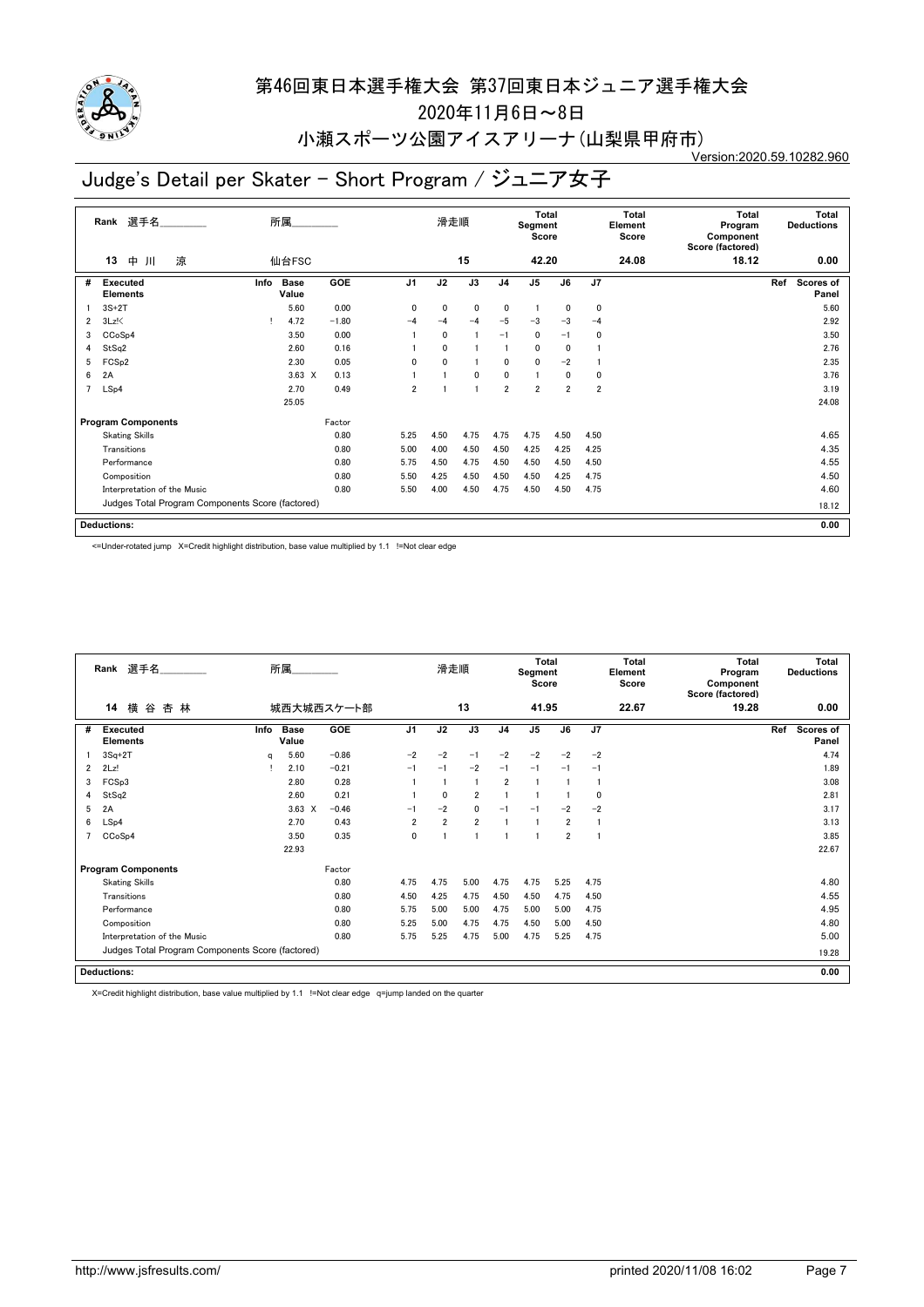

2020年11月6日~8日

### 小瀬スポーツ公園アイスアリーナ(山梨県甲府市)

Version:2020.59.10282.960

# Judge's Detail per Skater - Short Program / ジュニア女子

|                | 選手名<br>Rank                                      |      | 所属                   |         |                | 滑走順          |                 |                | <b>Total</b><br>Segment<br>Score |                |                | <b>Total</b><br>Element<br>Score | <b>Total</b><br>Program<br>Component<br>Score (factored) |     | Total<br><b>Deductions</b> |
|----------------|--------------------------------------------------|------|----------------------|---------|----------------|--------------|-----------------|----------------|----------------------------------|----------------|----------------|----------------------------------|----------------------------------------------------------|-----|----------------------------|
|                | 涼<br>中<br>13<br>Л                                |      | 仙台FSC                |         |                |              | 15              |                | 42.20                            |                |                | 24.08                            | 18.12                                                    |     | 0.00                       |
| #              | Executed<br><b>Elements</b>                      | Info | <b>Base</b><br>Value | GOE     | J <sub>1</sub> | J2           | $\overline{J3}$ | J <sub>4</sub> | J <sub>5</sub>                   | J6             | J7             |                                  |                                                          | Ref | Scores of<br>Panel         |
|                | $3S+2T$                                          |      | 5.60                 | 0.00    | $\mathbf{0}$   | 0            | $\mathbf 0$     | 0              | 1                                | 0              | 0              |                                  |                                                          |     | 5.60                       |
| $\overline{2}$ | $3Lz$ !                                          |      | 4.72                 | $-1.80$ | $-4$           | $-4$         | $-4$            | $-5$           | $-3$                             | $-3$           | $-4$           |                                  |                                                          |     | 2.92                       |
| 3              | CCoSp4                                           |      | 3.50                 | 0.00    |                | $\mathbf{0}$ |                 | $-1$           | 0                                | $-1$           | 0              |                                  |                                                          |     | 3.50                       |
| 4              | StSq2                                            |      | 2.60                 | 0.16    |                | $\mathbf{0}$ |                 |                | 0                                | 0              |                |                                  |                                                          |     | 2.76                       |
| 5              | FCS <sub>p2</sub>                                |      | 2.30                 | 0.05    | $\mathbf{0}$   | $\mathbf{0}$ |                 | $\mathbf{0}$   | $\mathbf{0}$                     | $-2$           |                |                                  |                                                          |     | 2.35                       |
| 6              | 2A                                               |      | $3.63 \times$        | 0.13    |                |              | 0               | 0              | 1                                | 0              | 0              |                                  |                                                          |     | 3.76                       |
| 7              | LSp4                                             |      | 2.70                 | 0.49    | $\overline{2}$ |              |                 | $\overline{2}$ | $\overline{2}$                   | $\overline{2}$ | $\overline{2}$ |                                  |                                                          |     | 3.19                       |
|                |                                                  |      | 25.05                |         |                |              |                 |                |                                  |                |                |                                  |                                                          |     | 24.08                      |
|                | <b>Program Components</b>                        |      |                      | Factor  |                |              |                 |                |                                  |                |                |                                  |                                                          |     |                            |
|                | <b>Skating Skills</b>                            |      |                      | 0.80    | 5.25           | 4.50         | 4.75            | 4.75           | 4.75                             | 4.50           | 4.50           |                                  |                                                          |     | 4.65                       |
|                | Transitions                                      |      |                      | 0.80    | 5.00           | 4.00         | 4.50            | 4.50           | 4.25                             | 4.25           | 4.25           |                                  |                                                          |     | 4.35                       |
|                | Performance                                      |      |                      | 0.80    | 5.75           | 4.50         | 4.75            | 4.50           | 4.50                             | 4.50           | 4.50           |                                  |                                                          |     | 4.55                       |
|                | Composition                                      |      |                      | 0.80    | 5.50           | 4.25         | 4.50            | 4.50           | 4.50                             | 4.25           | 4.75           |                                  |                                                          |     | 4.50                       |
|                | Interpretation of the Music                      |      |                      | 0.80    | 5.50           | 4.00         | 4.50            | 4.75           | 4.50                             | 4.50           | 4.75           |                                  |                                                          |     | 4.60                       |
|                | Judges Total Program Components Score (factored) |      |                      |         |                |              |                 |                |                                  |                |                |                                  |                                                          |     | 18.12                      |
|                | <b>Deductions:</b>                               |      |                      |         |                |              |                 |                |                                  |                |                |                                  |                                                          |     | 0.00                       |

<=Under-rotated jump X=Credit highlight distribution, base value multiplied by 1.1 !=Not clear edge

|   | Rank 選手名                                         |      | 所属                   |            |                | 滑走順            |                |                | <b>Total</b><br>Segment<br>Score |                |             | Total<br>Element<br>Score | <b>Total</b><br>Program<br>Component<br>Score (factored) | <b>Total</b><br><b>Deductions</b> |
|---|--------------------------------------------------|------|----------------------|------------|----------------|----------------|----------------|----------------|----------------------------------|----------------|-------------|---------------------------|----------------------------------------------------------|-----------------------------------|
|   | 横谷杏林<br>14                                       |      |                      | 城西大城西スケート部 |                |                | 13             |                | 41.95                            |                |             | 22.67                     | 19.28                                                    | 0.00                              |
| # | <b>Executed</b><br><b>Elements</b>               | Info | <b>Base</b><br>Value | <b>GOE</b> | J <sub>1</sub> | J2             | J3             | J <sub>4</sub> | J <sub>5</sub>                   | J6             | J7          |                           |                                                          | Ref<br><b>Scores of</b><br>Panel  |
|   | $3Sq+2T$                                         | q    | 5.60                 | $-0.86$    | $-2$           | $-2$           | $-1$           | $-2$           | $-2$                             | $-2$           | $-2$        |                           |                                                          | 4.74                              |
| 2 | 2Lz!                                             |      | 2.10                 | $-0.21$    | $-1$           | $-1$           | $-2$           | $-1$           | $-1$                             | $-1$           | $-1$        |                           |                                                          | 1.89                              |
| 3 | FCSp3                                            |      | 2.80                 | 0.28       |                |                |                | $\overline{2}$ |                                  |                |             |                           |                                                          | 3.08                              |
| 4 | StSq2                                            |      | 2.60                 | 0.21       |                | $\mathbf{0}$   | $\overline{2}$ |                |                                  |                | $\mathbf 0$ |                           |                                                          | 2.81                              |
| 5 | 2A                                               |      | $3.63 \times$        | $-0.46$    | $-1$           | $-2$           | 0              | $-1$           | $-1$                             | $-2$           | $-2$        |                           |                                                          | 3.17                              |
| 6 | LSp4                                             |      | 2.70                 | 0.43       | $\overline{2}$ | $\overline{2}$ | $\overline{2}$ |                |                                  | $\overline{2}$ | -1          |                           |                                                          | 3.13                              |
|   | CCoSp4                                           |      | 3.50                 | 0.35       | 0              |                |                |                |                                  | $\overline{2}$ |             |                           |                                                          | 3.85                              |
|   |                                                  |      | 22.93                |            |                |                |                |                |                                  |                |             |                           |                                                          | 22.67                             |
|   | <b>Program Components</b>                        |      |                      | Factor     |                |                |                |                |                                  |                |             |                           |                                                          |                                   |
|   | <b>Skating Skills</b>                            |      |                      | 0.80       | 4.75           | 4.75           | 5.00           | 4.75           | 4.75                             | 5.25           | 4.75        |                           |                                                          | 4.80                              |
|   | Transitions                                      |      |                      | 0.80       | 4.50           | 4.25           | 4.75           | 4.50           | 4.50                             | 4.75           | 4.50        |                           |                                                          | 4.55                              |
|   | Performance                                      |      |                      | 0.80       | 5.75           | 5.00           | 5.00           | 4.75           | 5.00                             | 5.00           | 4.75        |                           |                                                          | 4.95                              |
|   | Composition                                      |      |                      | 0.80       | 5.25           | 5.00           | 4.75           | 4.75           | 4.50                             | 5.00           | 4.50        |                           |                                                          | 4.80                              |
|   | Interpretation of the Music                      |      |                      | 0.80       | 5.75           | 5.25           | 4.75           | 5.00           | 4.75                             | 5.25           | 4.75        |                           |                                                          | 5.00                              |
|   | Judges Total Program Components Score (factored) |      |                      |            |                |                |                |                |                                  |                |             |                           |                                                          | 19.28                             |
|   | <b>Deductions:</b>                               |      |                      |            |                |                |                |                |                                  |                |             |                           |                                                          | 0.00                              |

X=Credit highlight distribution, base value multiplied by 1.1 !=Not clear edge q=jump landed on the quarter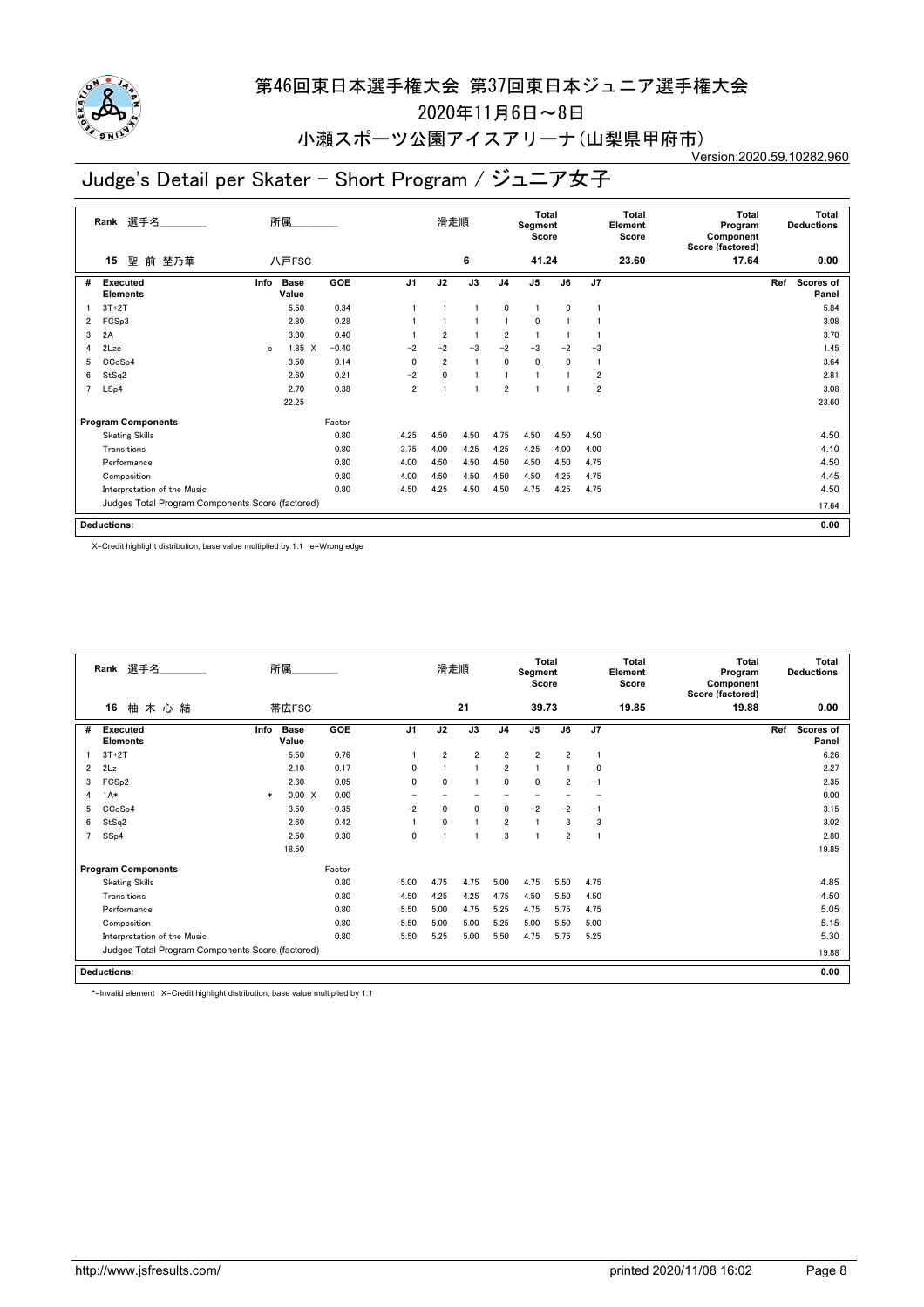

2020年11月6日~8日

#### 小瀬スポーツ公園アイスアリーナ(山梨県甲府市) Version:2020.59.10282.960

# Judge's Detail per Skater - Short Program / ジュニア女子

|                | 選手名<br>Rank                                      |              | 所属                   |            |                | 滑走順            |                |                | <b>Total</b><br>Segment<br>Score |              |                | <b>Total</b><br>Element<br>Score | <b>Total</b><br>Program<br>Component<br>Score (factored) | <b>Deductions</b> | Total                     |
|----------------|--------------------------------------------------|--------------|----------------------|------------|----------------|----------------|----------------|----------------|----------------------------------|--------------|----------------|----------------------------------|----------------------------------------------------------|-------------------|---------------------------|
|                | 聖<br>前 埜乃華<br>15                                 |              | 八戸FSC                |            |                |                | 6              |                | 41.24                            |              |                | 23.60                            | 17.64                                                    |                   | 0.00                      |
| #              | Executed<br><b>Elements</b>                      | Info         | <b>Base</b><br>Value | <b>GOE</b> | J <sub>1</sub> | J2             | J3             | J <sub>4</sub> | J <sub>5</sub>                   | J6           | J7             |                                  |                                                          | Ref               | <b>Scores of</b><br>Panel |
|                | $3T+2T$                                          |              | 5.50                 | 0.34       |                |                |                | 0              | 1                                | 0            |                |                                  |                                                          |                   | 5.84                      |
| $\overline{2}$ | FCS <sub>p3</sub>                                |              | 2.80                 | 0.28       |                |                |                | 1              | 0                                |              |                |                                  |                                                          |                   | 3.08                      |
| 3              | 2A                                               |              | 3.30                 | 0.40       |                | $\overline{2}$ |                | 2              |                                  |              |                |                                  |                                                          |                   | 3.70                      |
| 4              | 2Lze                                             | $\mathbf{e}$ | 1.85 X               | $-0.40$    | $-2$           | $-2$           | $-3$           | $-2$           | $-3$                             | $-2$         | $-3$           |                                  |                                                          |                   | 1.45                      |
| 5              | CCoSp4                                           |              | 3.50                 | 0.14       | $\mathbf{0}$   | $\overline{2}$ | $\overline{1}$ | $\mathbf 0$    | $\mathbf{0}$                     | $\mathbf{0}$ |                |                                  |                                                          |                   | 3.64                      |
| 6              | StSq2                                            |              | 2.60                 | 0.21       | $-2$           | 0              |                |                |                                  |              | 2              |                                  |                                                          |                   | 2.81                      |
| $\overline{7}$ | LSp4                                             |              | 2.70                 | 0.38       | $\overline{2}$ |                |                | $\overline{2}$ |                                  |              | $\overline{2}$ |                                  |                                                          |                   | 3.08                      |
|                |                                                  |              | 22.25                |            |                |                |                |                |                                  |              |                |                                  |                                                          |                   | 23.60                     |
|                | <b>Program Components</b>                        |              |                      | Factor     |                |                |                |                |                                  |              |                |                                  |                                                          |                   |                           |
|                | <b>Skating Skills</b>                            |              |                      | 0.80       | 4.25           | 4.50           | 4.50           | 4.75           | 4.50                             | 4.50         | 4.50           |                                  |                                                          |                   | 4.50                      |
|                | Transitions                                      |              |                      | 0.80       | 3.75           | 4.00           | 4.25           | 4.25           | 4.25                             | 4.00         | 4.00           |                                  |                                                          |                   | 4.10                      |
|                | Performance                                      |              |                      | 0.80       | 4.00           | 4.50           | 4.50           | 4.50           | 4.50                             | 4.50         | 4.75           |                                  |                                                          |                   | 4.50                      |
|                | Composition                                      |              |                      | 0.80       | 4.00           | 4.50           | 4.50           | 4.50           | 4.50                             | 4.25         | 4.75           |                                  |                                                          |                   | 4.45                      |
|                | Interpretation of the Music                      |              |                      | 0.80       | 4.50           | 4.25           | 4.50           | 4.50           | 4.75                             | 4.25         | 4.75           |                                  |                                                          |                   | 4.50                      |
|                | Judges Total Program Components Score (factored) |              |                      |            |                |                |                |                |                                  |              |                |                                  |                                                          |                   | 17.64                     |
|                | <b>Deductions:</b>                               |              |                      |            |                |                |                |                |                                  |              |                |                                  |                                                          |                   | 0.00                      |

X=Credit highlight distribution, base value multiplied by 1.1 e=Wrong edge

|   | Rank 選手名                                         |        | 所属                   |            |                | 滑走順            |                |                | <b>Total</b><br>Segment<br>Score |                |      | Total<br>Element<br>Score | Total<br>Program<br>Component<br>Score (factored) | Total<br><b>Deductions</b> |
|---|--------------------------------------------------|--------|----------------------|------------|----------------|----------------|----------------|----------------|----------------------------------|----------------|------|---------------------------|---------------------------------------------------|----------------------------|
|   | 16<br>柚木心結                                       |        | 帯広FSC                |            |                |                | 21             |                | 39.73                            |                |      | 19.85                     | 19.88                                             | 0.00                       |
| # | <b>Executed</b><br><b>Elements</b>               | Info   | <b>Base</b><br>Value | <b>GOE</b> | J <sub>1</sub> | J2             | J3             | J <sub>4</sub> | J <sub>5</sub>                   | J6             | J7   |                           |                                                   | Ref<br>Scores of<br>Panel  |
|   | $3T+2T$                                          |        | 5.50                 | 0.76       |                | $\overline{2}$ | $\overline{2}$ | $\overline{2}$ | $\overline{2}$                   | $\overline{2}$ |      |                           |                                                   | 6.26                       |
| 2 | 2Lz                                              |        | 2.10                 | 0.17       | 0              |                |                | $\overline{2}$ |                                  |                | 0    |                           |                                                   | 2.27                       |
| 3 | FCS <sub>p2</sub>                                |        | 2.30                 | 0.05       | 0              | $\mathbf{0}$   |                | $\mathbf{0}$   | $\mathbf{0}$                     | $\overline{2}$ | $-1$ |                           |                                                   | 2.35                       |
| 4 | $1A*$                                            | $\ast$ | 0.00 X               | 0.00       |                |                |                |                |                                  |                |      |                           |                                                   | 0.00                       |
| 5 | CCoSp4                                           |        | 3.50                 | $-0.35$    | $-2$           | 0              | 0              | 0              | $-2$                             | $-2$           | $-1$ |                           |                                                   | 3.15                       |
| 6 | StSq2                                            |        | 2.60                 | 0.42       |                | $\mathbf{0}$   |                | $\overline{2}$ |                                  | 3              | 3    |                           |                                                   | 3.02                       |
| 7 | SSp4                                             |        | 2.50                 | 0.30       | 0              |                |                | 3              |                                  | $\overline{2}$ |      |                           |                                                   | 2.80                       |
|   |                                                  |        | 18.50                |            |                |                |                |                |                                  |                |      |                           |                                                   | 19.85                      |
|   | <b>Program Components</b>                        |        |                      | Factor     |                |                |                |                |                                  |                |      |                           |                                                   |                            |
|   | <b>Skating Skills</b>                            |        |                      | 0.80       | 5.00           | 4.75           | 4.75           | 5.00           | 4.75                             | 5.50           | 4.75 |                           |                                                   | 4.85                       |
|   | Transitions                                      |        |                      | 0.80       | 4.50           | 4.25           | 4.25           | 4.75           | 4.50                             | 5.50           | 4.50 |                           |                                                   | 4.50                       |
|   | Performance                                      |        |                      | 0.80       | 5.50           | 5.00           | 4.75           | 5.25           | 4.75                             | 5.75           | 4.75 |                           |                                                   | 5.05                       |
|   | Composition                                      |        |                      | 0.80       | 5.50           | 5.00           | 5.00           | 5.25           | 5.00                             | 5.50           | 5.00 |                           |                                                   | 5.15                       |
|   | Interpretation of the Music                      |        |                      | 0.80       | 5.50           | 5.25           | 5.00           | 5.50           | 4.75                             | 5.75           | 5.25 |                           |                                                   | 5.30                       |
|   | Judges Total Program Components Score (factored) |        |                      |            |                |                |                |                |                                  |                |      |                           |                                                   | 19.88                      |
|   | <b>Deductions:</b>                               |        |                      |            |                |                |                |                |                                  |                |      |                           |                                                   | 0.00                       |

\*=Invalid element X=Credit highlight distribution, base value multiplied by 1.1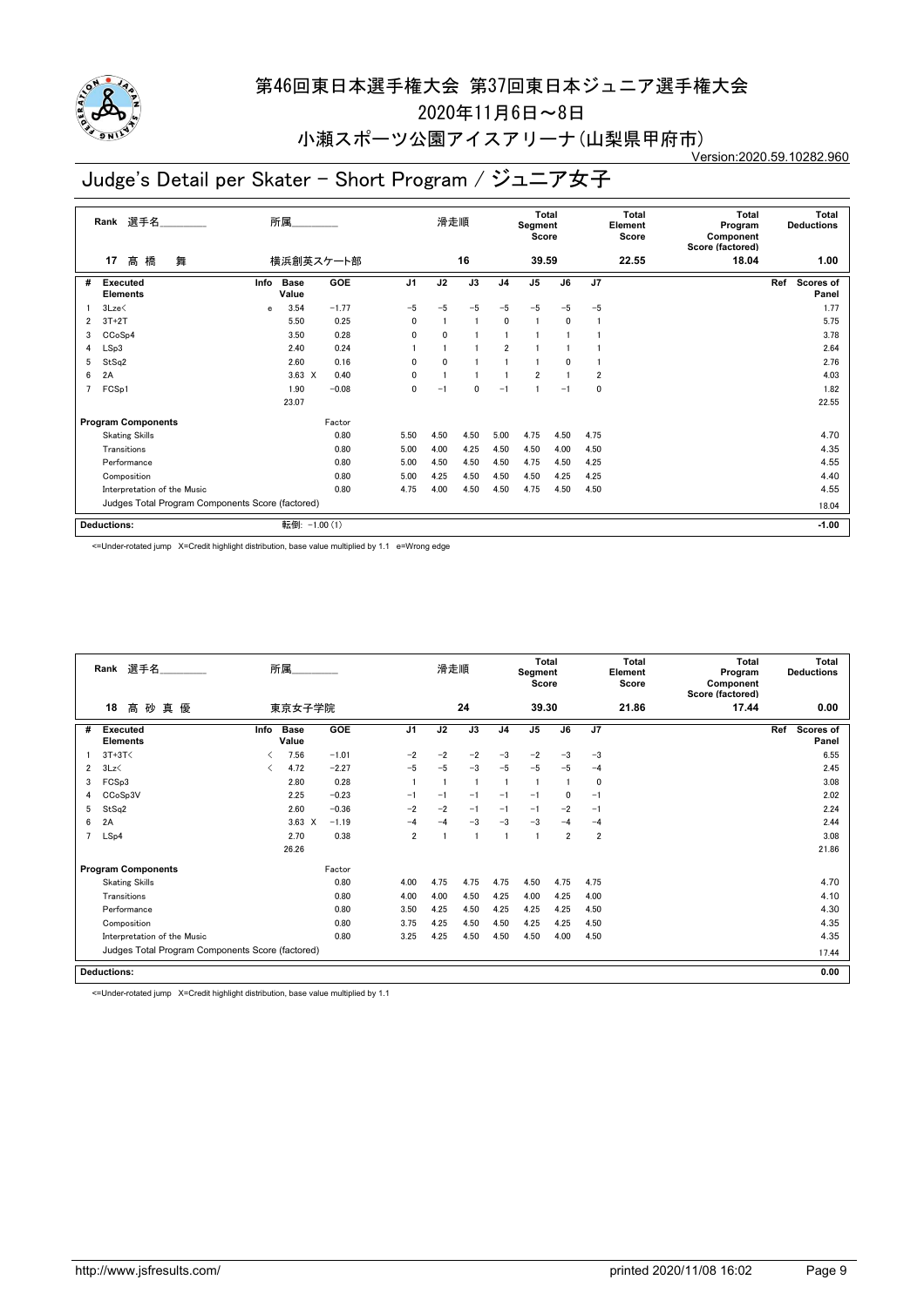

2020年11月6日~8日

#### 小瀬スポーツ公園アイスアリーナ(山梨県甲府市) Version:2020.59.10282.960

# Judge's Detail per Skater - Short Program / ジュニア女子

|   | 選手名<br>Rank                                      |      | 所属                   |         |                | 滑走順  |              |                | <b>Total</b><br>Segment<br>Score |              |                | <b>Total</b><br>Element<br>Score | <b>Total</b><br>Program<br>Component<br>Score (factored) |     | <b>Total</b><br><b>Deductions</b> |
|---|--------------------------------------------------|------|----------------------|---------|----------------|------|--------------|----------------|----------------------------------|--------------|----------------|----------------------------------|----------------------------------------------------------|-----|-----------------------------------|
|   | 髙橋<br>舞<br>17                                    |      | 横浜創英スケート部            |         |                |      | 16           |                | 39.59                            |              |                | 22.55                            | 18.04                                                    |     | 1.00                              |
| # | <b>Executed</b><br><b>Elements</b>               | Info | <b>Base</b><br>Value | GOE     | J <sub>1</sub> | J2   | J3           | J <sub>4</sub> | J <sub>5</sub>                   | J6           | J7             |                                  |                                                          | Ref | Scores of<br>Panel                |
|   | 3Lze<                                            | e    | 3.54                 | $-1.77$ | $-5$           | $-5$ | $-5$         | $-5$           | $-5$                             | $-5$         | $-5$           |                                  |                                                          |     | 1.77                              |
| 2 | $3T+2T$                                          |      | 5.50                 | 0.25    | $\mathbf{0}$   |      | $\mathbf{1}$ | $\mathbf{0}$   |                                  | $\mathbf{0}$ |                |                                  |                                                          |     | 5.75                              |
| 3 | CCoSp4                                           |      | 3.50                 | 0.28    | 0              | 0    |              |                |                                  |              |                |                                  |                                                          |     | 3.78                              |
| 4 | LSp3                                             |      | 2.40                 | 0.24    |                |      |              | $\overline{2}$ |                                  |              |                |                                  |                                                          |     | 2.64                              |
| 5 | StSq2                                            |      | 2.60                 | 0.16    | 0              | 0    |              |                |                                  | 0            |                |                                  |                                                          |     | 2.76                              |
| 6 | 2A                                               |      | $3.63 \times$        | 0.40    | $\mathbf{0}$   |      |              | 1              | $\overline{2}$                   |              | $\overline{2}$ |                                  |                                                          |     | 4.03                              |
| 7 | FCSp1                                            |      | 1.90                 | $-0.08$ | $\mathbf{0}$   | $-1$ | $\mathbf{0}$ | $-1$           |                                  | $-1$         | 0              |                                  |                                                          |     | 1.82                              |
|   |                                                  |      | 23.07                |         |                |      |              |                |                                  |              |                |                                  |                                                          |     | 22.55                             |
|   | <b>Program Components</b>                        |      |                      | Factor  |                |      |              |                |                                  |              |                |                                  |                                                          |     |                                   |
|   | <b>Skating Skills</b>                            |      |                      | 0.80    | 5.50           | 4.50 | 4.50         | 5.00           | 4.75                             | 4.50         | 4.75           |                                  |                                                          |     | 4.70                              |
|   | Transitions                                      |      |                      | 0.80    | 5.00           | 4.00 | 4.25         | 4.50           | 4.50                             | 4.00         | 4.50           |                                  |                                                          |     | 4.35                              |
|   | Performance                                      |      |                      | 0.80    | 5.00           | 4.50 | 4.50         | 4.50           | 4.75                             | 4.50         | 4.25           |                                  |                                                          |     | 4.55                              |
|   | Composition                                      |      |                      | 0.80    | 5.00           | 4.25 | 4.50         | 4.50           | 4.50                             | 4.25         | 4.25           |                                  |                                                          |     | 4.40                              |
|   | Interpretation of the Music                      |      |                      | 0.80    | 4.75           | 4.00 | 4.50         | 4.50           | 4.75                             | 4.50         | 4.50           |                                  |                                                          |     | 4.55                              |
|   | Judges Total Program Components Score (factored) |      |                      |         |                |      |              |                |                                  |              |                |                                  |                                                          |     | 18.04                             |
|   | <b>Deductions:</b>                               |      | 転倒: -1.00 (1)        |         |                |      |              |                |                                  |              |                |                                  |                                                          |     | $-1.00$                           |

<=Under-rotated jump X=Credit highlight distribution, base value multiplied by 1.1 e=Wrong edge

|   | Rank 選手名                                         | 所属   |                      |         |                | 滑走順  |      |                | <b>Total</b><br>Segment<br>Score |                |                | Total<br>Element<br>Score | Total<br>Program<br>Component<br>Score (factored) | Total<br><b>Deductions</b> |
|---|--------------------------------------------------|------|----------------------|---------|----------------|------|------|----------------|----------------------------------|----------------|----------------|---------------------------|---------------------------------------------------|----------------------------|
|   | 18<br>高砂真優                                       |      | 東京女子学院               |         |                |      | 24   |                | 39.30                            |                |                | 21.86                     | 17.44                                             | 0.00                       |
| # | Executed<br><b>Elements</b>                      | Info | <b>Base</b><br>Value | GOE     | J <sub>1</sub> | J2   | J3   | J <sub>4</sub> | J <sub>5</sub>                   | J6             | J7             |                           |                                                   | Ref<br>Scores of<br>Panel  |
|   | $3T+3T<$                                         |      | 7.56                 | $-1.01$ | $-2$           | $-2$ | $-2$ | $-3$           | $-2$                             | $-3$           | $-3$           |                           |                                                   | 6.55                       |
| 2 | 3Lz                                              |      | 4.72                 | $-2.27$ | $-5$           | $-5$ | $-3$ | $-5$           | $-5$                             | $-5$           | $-4$           |                           |                                                   | 2.45                       |
| 3 | FCSp3                                            |      | 2.80                 | 0.28    |                |      |      |                | $\mathbf{1}$                     |                | 0              |                           |                                                   | 3.08                       |
|   | CCoSp3V                                          |      | 2.25                 | $-0.23$ | $-1$           | $-1$ | $-1$ | $-1$           | $-1$                             | 0              | $-1$           |                           |                                                   | 2.02                       |
| 5 | StSq2                                            |      | 2.60                 | $-0.36$ | $-2$           | $-2$ | $-1$ | $-1$           | $-1$                             | $-2$           | $-1$           |                           |                                                   | 2.24                       |
| 6 | 2A                                               |      | 3.63<br>X            | $-1.19$ | $-4$           | $-4$ | $-3$ | $-3$           | $-3$                             | $-4$           | $-4$           |                           |                                                   | 2.44                       |
|   | LSp4                                             |      | 2.70                 | 0.38    | $\overline{2}$ |      | f.   |                | -1                               | $\overline{2}$ | $\overline{2}$ |                           |                                                   | 3.08                       |
|   |                                                  |      | 26.26                |         |                |      |      |                |                                  |                |                |                           |                                                   | 21.86                      |
|   | <b>Program Components</b>                        |      |                      | Factor  |                |      |      |                |                                  |                |                |                           |                                                   |                            |
|   | <b>Skating Skills</b>                            |      |                      | 0.80    | 4.00           | 4.75 | 4.75 | 4.75           | 4.50                             | 4.75           | 4.75           |                           |                                                   | 4.70                       |
|   | Transitions                                      |      |                      | 0.80    | 4.00           | 4.00 | 4.50 | 4.25           | 4.00                             | 4.25           | 4.00           |                           |                                                   | 4.10                       |
|   | Performance                                      |      |                      | 0.80    | 3.50           | 4.25 | 4.50 | 4.25           | 4.25                             | 4.25           | 4.50           |                           |                                                   | 4.30                       |
|   | Composition                                      |      |                      | 0.80    | 3.75           | 4.25 | 4.50 | 4.50           | 4.25                             | 4.25           | 4.50           |                           |                                                   | 4.35                       |
|   | Interpretation of the Music                      |      |                      | 0.80    | 3.25           | 4.25 | 4.50 | 4.50           | 4.50                             | 4.00           | 4.50           |                           |                                                   | 4.35                       |
|   | Judges Total Program Components Score (factored) |      |                      |         |                |      |      |                |                                  |                |                |                           |                                                   | 17.44                      |
|   | <b>Deductions:</b>                               |      |                      |         |                |      |      |                |                                  |                |                |                           |                                                   | 0.00                       |

<=Under-rotated jump X=Credit highlight distribution, base value multiplied by 1.1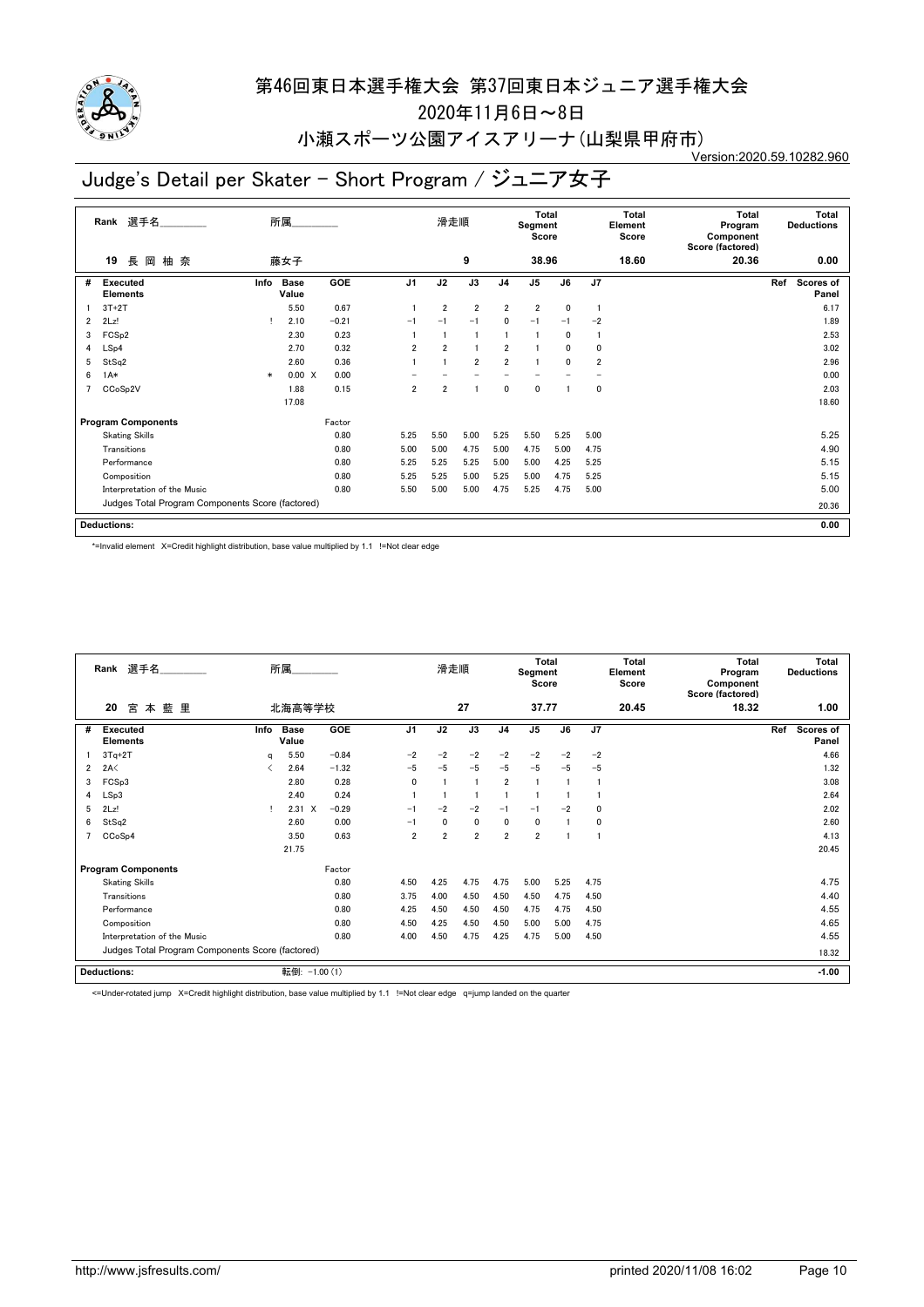

2020年11月6日~8日

小瀬スポーツ公園アイスアリーナ(山梨県甲府市)

Version:2020.59.10282.960

# Judge's Detail per Skater - Short Program / ジュニア女子

|                | 選手名<br>Rank                                      |        | 所属                   |         |                | 滑走順            |                 |                | <b>Total</b><br>Segment<br>Score |              |                         | <b>Total</b><br>Element<br>Score | <b>Total</b><br>Program<br>Component<br>Score (factored) | <b>Total</b><br><b>Deductions</b> |
|----------------|--------------------------------------------------|--------|----------------------|---------|----------------|----------------|-----------------|----------------|----------------------------------|--------------|-------------------------|----------------------------------|----------------------------------------------------------|-----------------------------------|
|                | 長<br>柚奈<br>岡<br>19                               |        | 藤女子                  |         |                |                | 9               |                | 38.96                            |              |                         | 18.60                            | 20.36                                                    | 0.00                              |
| #              | Executed<br><b>Elements</b>                      | Info   | <b>Base</b><br>Value | GOE     | J <sub>1</sub> | J2             | $\overline{J3}$ | J <sub>4</sub> | $\overline{J5}$                  | J6           | $\overline{J7}$         |                                  |                                                          | Ref<br><b>Scores of</b><br>Panel  |
|                | $3T+2T$                                          |        | 5.50                 | 0.67    |                | $\overline{2}$ | $\overline{2}$  | 2              | $\overline{2}$                   | 0            |                         |                                  |                                                          | 6.17                              |
| $\overline{2}$ | 2Lz!                                             |        | 2.10                 | $-0.21$ | $-1$           | $-1$           | $-1$            | 0              | $-1$                             | $-1$         | $-2$                    |                                  |                                                          | 1.89                              |
| 3              | FCS <sub>p2</sub>                                |        | 2.30                 | 0.23    |                |                | $\overline{1}$  | 1              |                                  | $\mathbf{0}$ |                         |                                  |                                                          | 2.53                              |
| 4              | LSp4                                             |        | 2.70                 | 0.32    | $\overline{2}$ | $\overline{2}$ |                 | 2              |                                  | 0            | 0                       |                                  |                                                          | 3.02                              |
| 5              | StSq2                                            |        | 2.60                 | 0.36    |                |                | $\overline{2}$  | $\overline{2}$ | 1                                | $\mathbf{0}$ | $\overline{\mathbf{2}}$ |                                  |                                                          | 2.96                              |
| 6              | $1A*$                                            | $\ast$ | 0.00 X               | 0.00    |                |                |                 |                |                                  |              |                         |                                  |                                                          | 0.00                              |
|                | CCoSp2V                                          |        | 1.88                 | 0.15    | $\overline{2}$ | $\overline{2}$ |                 | 0              | 0                                |              | 0                       |                                  |                                                          | 2.03                              |
|                |                                                  |        | 17.08                |         |                |                |                 |                |                                  |              |                         |                                  |                                                          | 18.60                             |
|                | <b>Program Components</b>                        |        |                      | Factor  |                |                |                 |                |                                  |              |                         |                                  |                                                          |                                   |
|                | <b>Skating Skills</b>                            |        |                      | 0.80    | 5.25           | 5.50           | 5.00            | 5.25           | 5.50                             | 5.25         | 5.00                    |                                  |                                                          | 5.25                              |
|                | Transitions                                      |        |                      | 0.80    | 5.00           | 5.00           | 4.75            | 5.00           | 4.75                             | 5.00         | 4.75                    |                                  |                                                          | 4.90                              |
|                | Performance                                      |        |                      | 0.80    | 5.25           | 5.25           | 5.25            | 5.00           | 5.00                             | 4.25         | 5.25                    |                                  |                                                          | 5.15                              |
|                | Composition                                      |        |                      | 0.80    | 5.25           | 5.25           | 5.00            | 5.25           | 5.00                             | 4.75         | 5.25                    |                                  |                                                          | 5.15                              |
|                | Interpretation of the Music                      |        |                      | 0.80    | 5.50           | 5.00           | 5.00            | 4.75           | 5.25                             | 4.75         | 5.00                    |                                  |                                                          | 5.00                              |
|                | Judges Total Program Components Score (factored) |        |                      |         |                |                |                 |                |                                  |              |                         |                                  |                                                          | 20.36                             |
|                | <b>Deductions:</b>                               |        |                      |         |                |                |                 |                |                                  |              |                         |                                  |                                                          | 0.00                              |

\*=Invalid element X=Credit highlight distribution, base value multiplied by 1.1 !=Not clear edge

|                | 選手名<br>Rank                                      |      | 所属                   |            |                | 滑走順                     |                |                | <b>Total</b><br>Segment<br>Score |      |              | <b>Total</b><br>Element<br>Score | <b>Total</b><br>Program<br>Component<br>Score (factored) | <b>Total</b><br><b>Deductions</b> |
|----------------|--------------------------------------------------|------|----------------------|------------|----------------|-------------------------|----------------|----------------|----------------------------------|------|--------------|----------------------------------|----------------------------------------------------------|-----------------------------------|
|                | 20<br>宮<br>藍里<br>本                               |      | 北海高等学校               |            |                |                         | 27             |                | 37.77                            |      |              | 20.45                            | 18.32                                                    | 1.00                              |
| #              | <b>Executed</b><br><b>Elements</b>               | Info | <b>Base</b><br>Value | <b>GOE</b> | J <sub>1</sub> | J2                      | J3             | J <sub>4</sub> | J <sub>5</sub>                   | J6   | J7           |                                  |                                                          | Ref<br><b>Scores of</b><br>Panel  |
|                | $3Tq+2T$                                         | q    | 5.50                 | $-0.84$    | $-2$           | $-2$                    | $-2$           | $-2$           | $-2$                             | $-2$ | $-2$         |                                  |                                                          | 4.66                              |
| $\overline{2}$ | 2A<                                              |      | 2.64                 | $-1.32$    | $-5$           | $-5$                    | $-5$           | $-5$           | $-5$                             | $-5$ | $-5$         |                                  |                                                          | 1.32                              |
| 3              | FCSp3                                            |      | 2.80                 | 0.28       | $\mathbf{0}$   | $\overline{\mathbf{1}}$ | $\overline{1}$ | $\overline{2}$ |                                  |      |              |                                  |                                                          | 3.08                              |
| 4              | LSp3                                             |      | 2.40                 | 0.24       |                |                         |                |                |                                  |      |              |                                  |                                                          | 2.64                              |
| 5              | 2Lz!                                             |      | $2.31 \t X$          | $-0.29$    | $-1$           | $-2$                    | $-2$           | $-1$           | $-1$                             | $-2$ | $\mathbf{0}$ |                                  |                                                          | 2.02                              |
| 6              | StSq2                                            |      | 2.60                 | 0.00       | $-1$           | 0                       | 0              | $\mathbf{0}$   | 0                                |      | 0            |                                  |                                                          | 2.60                              |
|                | CCoSp4                                           |      | 3.50                 | 0.63       | $\overline{2}$ | $\overline{2}$          | $\overline{2}$ | $\overline{2}$ | $\overline{2}$                   |      | -1           |                                  |                                                          | 4.13                              |
|                |                                                  |      | 21.75                |            |                |                         |                |                |                                  |      |              |                                  |                                                          | 20.45                             |
|                | <b>Program Components</b>                        |      |                      | Factor     |                |                         |                |                |                                  |      |              |                                  |                                                          |                                   |
|                | <b>Skating Skills</b>                            |      |                      | 0.80       | 4.50           | 4.25                    | 4.75           | 4.75           | 5.00                             | 5.25 | 4.75         |                                  |                                                          | 4.75                              |
|                | Transitions                                      |      |                      | 0.80       | 3.75           | 4.00                    | 4.50           | 4.50           | 4.50                             | 4.75 | 4.50         |                                  |                                                          | 4.40                              |
|                | Performance                                      |      |                      | 0.80       | 4.25           | 4.50                    | 4.50           | 4.50           | 4.75                             | 4.75 | 4.50         |                                  |                                                          | 4.55                              |
|                | Composition                                      |      |                      | 0.80       | 4.50           | 4.25                    | 4.50           | 4.50           | 5.00                             | 5.00 | 4.75         |                                  |                                                          | 4.65                              |
|                | Interpretation of the Music                      |      |                      | 0.80       | 4.00           | 4.50                    | 4.75           | 4.25           | 4.75                             | 5.00 | 4.50         |                                  |                                                          | 4.55                              |
|                | Judges Total Program Components Score (factored) |      |                      |            |                |                         |                |                |                                  |      |              |                                  |                                                          | 18.32                             |
|                | <b>Deductions:</b>                               |      | 転倒: -1.00 (1)        |            |                |                         |                |                |                                  |      |              |                                  |                                                          | $-1.00$                           |

<=Under-rotated jump X=Credit highlight distribution, base value multiplied by 1.1 !=Not clear edge q=jump landed on the quarter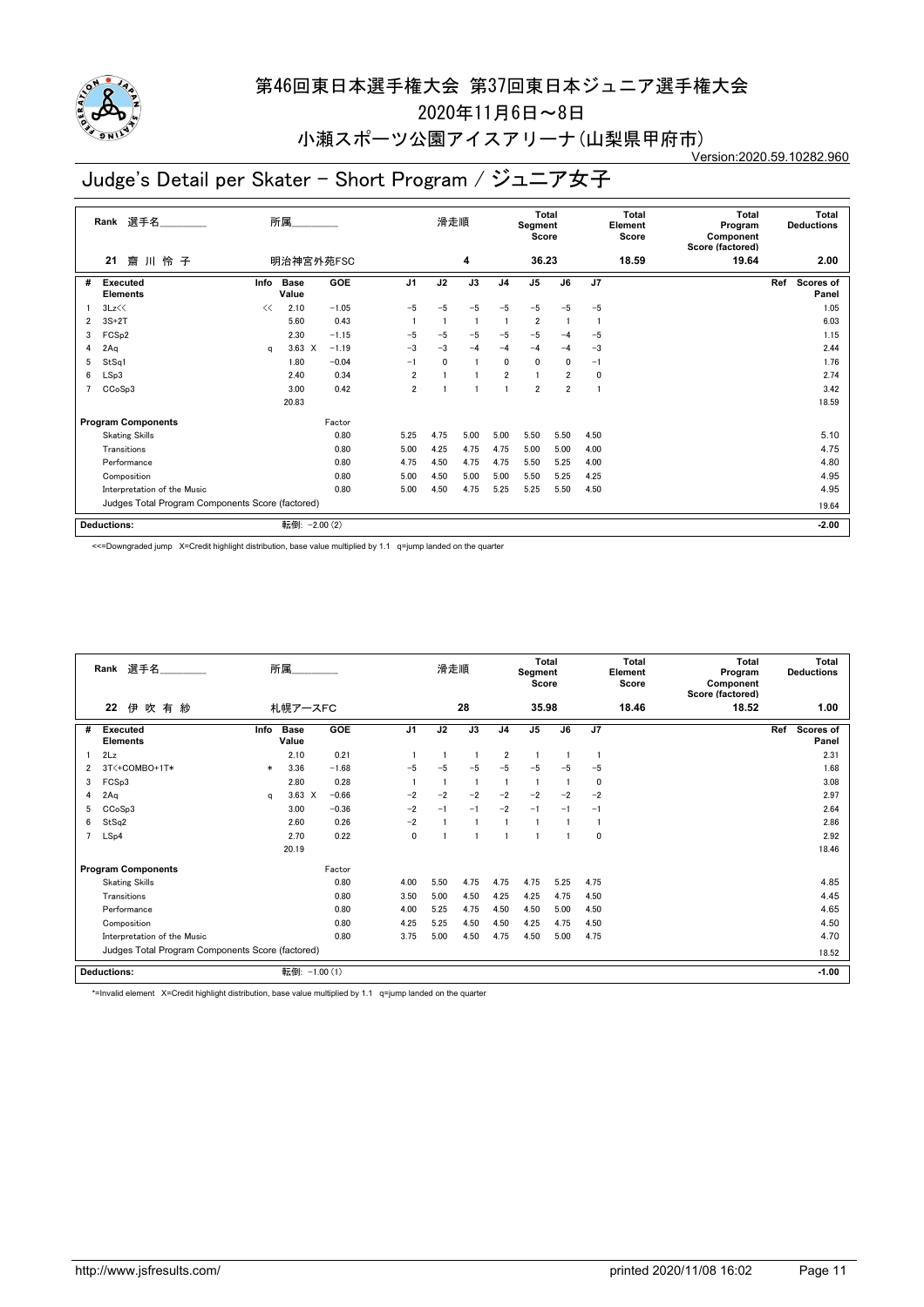

2020年11月6日~8日

#### 小瀬スポーツ公園アイスアリーナ(山梨県甲府市) Version:2020.59.10282.960

# Judge's Detail per Skater - Short Program / ジュニア女子

|   | 選手名<br>Rank                                      |      | 所属            |         |                 | 滑走順  |                 |                | <b>Total</b><br>Segment<br>Score |                |                | Total<br>Element<br>Score | <b>Total</b><br>Program<br>Component<br>Score (factored) |         | <b>Total</b><br><b>Deductions</b> |
|---|--------------------------------------------------|------|---------------|---------|-----------------|------|-----------------|----------------|----------------------------------|----------------|----------------|---------------------------|----------------------------------------------------------|---------|-----------------------------------|
|   | 齋川怜子<br>21                                       |      | 明治神宮外苑FSC     |         |                 |      | 4               |                | 36.23                            |                |                | 18.59                     | 19.64                                                    |         | 2.00                              |
| # | Executed<br><b>Elements</b>                      | Info | Base<br>Value | GOE     | $\overline{J1}$ | J2   | $\overline{J3}$ | J <sub>4</sub> | $\overline{J5}$                  | J6             | J <sub>7</sub> |                           |                                                          | Ref     | Scores of<br>Panel                |
|   | 3Lz<<                                            | <<   | 2.10          | $-1.05$ | $-5$            | $-5$ | $-5$            | $-5$           | $-5$                             | $-5$           | $-5$           |                           |                                                          |         | 1.05                              |
| 2 | $3S+2T$                                          |      | 5.60          | 0.43    |                 |      | $\blacksquare$  |                | $\overline{\mathbf{2}}$          |                |                |                           |                                                          |         | 6.03                              |
| 3 | FCS <sub>p2</sub>                                |      | 2.30          | $-1.15$ | $-5$            | $-5$ | $-5$            | $-5$           | $-5$                             | -4             | $-5$           |                           |                                                          |         | 1.15                              |
| 4 | 2Aq                                              | a    | $3.63 \times$ | $-1.19$ | $-3$            | $-3$ | $-4$            | $-4$           | $-4$                             | $-4$           | $-3$           |                           |                                                          |         | 2.44                              |
| 5 | StSq1                                            |      | 1.80          | $-0.04$ | $-1$            | 0    |                 | 0              | 0                                | 0              | $-1$           |                           |                                                          |         | 1.76                              |
| 6 | LSp3                                             |      | 2.40          | 0.34    | $\overline{2}$  |      |                 | $\overline{2}$ | 1                                | $\overline{2}$ | 0              |                           |                                                          |         | 2.74                              |
| 7 | CCoSp3                                           |      | 3.00          | 0.42    | $\overline{2}$  |      |                 |                | $\overline{2}$                   | $\overline{2}$ |                |                           |                                                          |         | 3.42                              |
|   |                                                  |      | 20.83         |         |                 |      |                 |                |                                  |                |                |                           |                                                          |         | 18.59                             |
|   | <b>Program Components</b>                        |      |               | Factor  |                 |      |                 |                |                                  |                |                |                           |                                                          |         |                                   |
|   | <b>Skating Skills</b>                            |      |               | 0.80    | 5.25            | 4.75 | 5.00            | 5.00           | 5.50                             | 5.50           | 4.50           |                           |                                                          |         | 5.10                              |
|   | Transitions                                      |      |               | 0.80    | 5.00            | 4.25 | 4.75            | 4.75           | 5.00                             | 5.00           | 4.00           |                           |                                                          |         | 4.75                              |
|   | Performance                                      |      |               | 0.80    | 4.75            | 4.50 | 4.75            | 4.75           | 5.50                             | 5.25           | 4.00           |                           |                                                          |         | 4.80                              |
|   | Composition                                      |      |               | 0.80    | 5.00            | 4.50 | 5.00            | 5.00           | 5.50                             | 5.25           | 4.25           |                           |                                                          |         | 4.95                              |
|   | Interpretation of the Music                      |      |               | 0.80    | 5.00            | 4.50 | 4.75            | 5.25           | 5.25                             | 5.50           | 4.50           |                           |                                                          |         | 4.95                              |
|   | Judges Total Program Components Score (factored) |      |               |         |                 |      |                 |                |                                  |                |                |                           |                                                          | 19.64   |                                   |
|   | <b>Deductions:</b>                               | 転倒:  | $-2.00(2)$    |         |                 |      |                 |                |                                  |                |                |                           |                                                          | $-2.00$ |                                   |

<<=Downgraded jump X=Credit highlight distribution, base value multiplied by 1.1 q=jump landed on the quarter

|   | Rank 選手名                                         |        | 所属                   |            |                | 滑走順  |      |                | Total<br>Segment<br>Score |      |             | Total<br>Element<br>Score | Total<br>Program<br>Component<br>Score (factored) | Total<br><b>Deductions</b> |
|---|--------------------------------------------------|--------|----------------------|------------|----------------|------|------|----------------|---------------------------|------|-------------|---------------------------|---------------------------------------------------|----------------------------|
|   | 22<br>伊<br>吹有紗                                   |        | 札幌アースFC              |            |                |      | 28   |                | 35.98                     |      |             | 18.46                     | 18.52                                             | 1.00                       |
| # | <b>Executed</b><br><b>Elements</b>               | Info   | <b>Base</b><br>Value | <b>GOE</b> | J <sub>1</sub> | J2   | J3   | J <sub>4</sub> | J <sub>5</sub>            | J6   | J7          |                           |                                                   | Ref<br>Scores of<br>Panel  |
|   | 2Lz                                              |        | 2.10                 | 0.21       |                |      |      | $\overline{2}$ |                           |      | -1          |                           |                                                   | 2.31                       |
| 2 | 3T<+COMBO+1T*                                    | $\ast$ | 3.36                 | $-1.68$    | $-5$           | -5   | $-5$ | $-5$           | $-5$                      | $-5$ | $-5$        |                           |                                                   | 1.68                       |
| 3 | FCSp3                                            |        | 2.80                 | 0.28       |                |      |      |                |                           |      | $\mathbf 0$ |                           |                                                   | 3.08                       |
| 4 | 2Aq                                              | q      | $3.63 \times$        | $-0.66$    | $-2$           | $-2$ | $-2$ | $-2$           | $-2$                      | $-2$ | $-2$        |                           |                                                   | 2.97                       |
| 5 | CC <sub>o</sub> S <sub>p</sub> 3                 |        | 3.00                 | $-0.36$    | $-2$           | $-1$ | $-1$ | $-2$           | $-1$                      | $-1$ | $-1$        |                           |                                                   | 2.64                       |
| 6 | StSq2                                            |        | 2.60                 | 0.26       | $-2$           |      |      |                |                           |      |             |                           |                                                   | 2.86                       |
|   | LSp4                                             |        | 2.70                 | 0.22       | 0              |      |      |                |                           |      | $\mathbf 0$ |                           |                                                   | 2.92                       |
|   |                                                  |        | 20.19                |            |                |      |      |                |                           |      |             |                           |                                                   | 18.46                      |
|   | <b>Program Components</b>                        |        |                      | Factor     |                |      |      |                |                           |      |             |                           |                                                   |                            |
|   | <b>Skating Skills</b>                            |        |                      | 0.80       | 4.00           | 5.50 | 4.75 | 4.75           | 4.75                      | 5.25 | 4.75        |                           |                                                   | 4.85                       |
|   | Transitions                                      |        |                      | 0.80       | 3.50           | 5.00 | 4.50 | 4.25           | 4.25                      | 4.75 | 4.50        |                           |                                                   | 4.45                       |
|   | Performance                                      |        |                      | 0.80       | 4.00           | 5.25 | 4.75 | 4.50           | 4.50                      | 5.00 | 4.50        |                           |                                                   | 4.65                       |
|   | Composition                                      |        |                      | 0.80       | 4.25           | 5.25 | 4.50 | 4.50           | 4.25                      | 4.75 | 4.50        |                           |                                                   | 4.50                       |
|   | Interpretation of the Music                      |        |                      | 0.80       | 3.75           | 5.00 | 4.50 | 4.75           | 4.50                      | 5.00 | 4.75        |                           |                                                   | 4.70                       |
|   | Judges Total Program Components Score (factored) |        |                      |            |                |      |      |                |                           |      |             |                           |                                                   | 18.52                      |
|   | <b>Deductions:</b>                               |        | 転倒: -1.00 (1)        |            |                |      |      |                |                           |      |             |                           |                                                   | $-1.00$                    |

\*=Invalid element X=Credit highlight distribution, base value multiplied by 1.1 q=jump landed on the quarter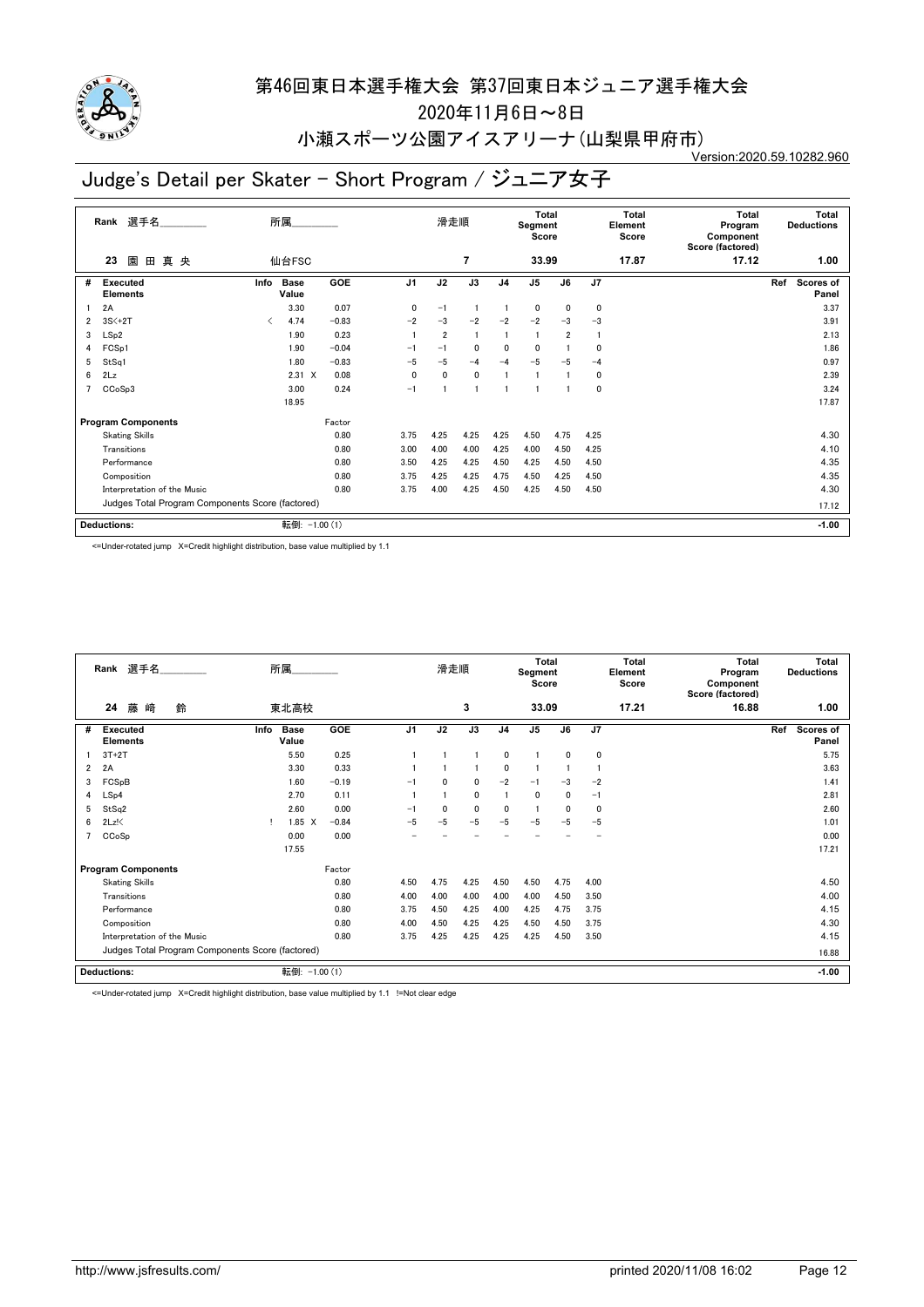

2020年11月6日~8日

### 小瀬スポーツ公園アイスアリーナ(山梨県甲府市)

Version:2020.59.10282.960

### Judge's Detail per Skater - Short Program / ジュニア女子

|   | 選手名<br>Rank                                      |      | 所属                   |         |                | 滑走順            |                |                | <b>Total</b><br>Segment<br>Score |                |                | <b>Total</b><br>Element<br>Score | <b>Total</b><br>Program<br>Component<br>Score (factored) |     | <b>Total</b><br><b>Deductions</b> |
|---|--------------------------------------------------|------|----------------------|---------|----------------|----------------|----------------|----------------|----------------------------------|----------------|----------------|----------------------------------|----------------------------------------------------------|-----|-----------------------------------|
|   | 園<br>田<br>真央<br>23                               |      | 仙台FSC                |         |                |                | $\overline{7}$ |                | 33.99                            |                |                | 17.87                            | 17.12                                                    |     | 1.00                              |
| # | Executed<br><b>Elements</b>                      | Info | <b>Base</b><br>Value | GOE     | J <sub>1</sub> | J2             | J3             | J <sub>4</sub> | J <sub>5</sub>                   | J6             | J <sub>7</sub> |                                  |                                                          | Ref | Scores of<br>Panel                |
|   | 2A                                               |      | 3.30                 | 0.07    | $\mathbf{0}$   | $-1$           |                |                | 0                                | $\mathbf{0}$   | 0              |                                  |                                                          |     | 3.37                              |
| 2 | $3S<+2T$                                         | ✓    | 4.74                 | $-0.83$ | $-2$           | $-3$           | $-2$           | $-2$           | $-2$                             | $-3$           | $-3$           |                                  |                                                          |     | 3.91                              |
| 3 | LSp2                                             |      | 1.90                 | 0.23    |                | $\overline{2}$ |                |                | -1                               | $\overline{2}$ |                |                                  |                                                          |     | 2.13                              |
| 4 | FCSp1                                            |      | 1.90                 | $-0.04$ | $-1$           | $-1$           | $\mathbf{0}$   | 0              | $\mathbf{0}$                     |                | 0              |                                  |                                                          |     | 1.86                              |
| 5 | StSq1                                            |      | 1.80                 | $-0.83$ | $-5$           | $-5$           | $-4$           | $-4$           | $-5$                             | $-5$           | $-4$           |                                  |                                                          |     | 0.97                              |
| 6 | 2Lz                                              |      | $2.31 \t X$          | 0.08    | $\mathbf{0}$   | $\mathbf{0}$   | $\mathbf 0$    |                |                                  |                | 0              |                                  |                                                          |     | 2.39                              |
| 7 | CCoSp3                                           |      | 3.00                 | 0.24    | $-1$           |                |                |                |                                  |                | 0              |                                  |                                                          |     | 3.24                              |
|   |                                                  |      | 18.95                |         |                |                |                |                |                                  |                |                |                                  |                                                          |     | 17.87                             |
|   | <b>Program Components</b>                        |      |                      | Factor  |                |                |                |                |                                  |                |                |                                  |                                                          |     |                                   |
|   | <b>Skating Skills</b>                            |      |                      | 0.80    | 3.75           | 4.25           | 4.25           | 4.25           | 4.50                             | 4.75           | 4.25           |                                  |                                                          |     | 4.30                              |
|   | Transitions                                      |      |                      | 0.80    | 3.00           | 4.00           | 4.00           | 4.25           | 4.00                             | 4.50           | 4.25           |                                  |                                                          |     | 4.10                              |
|   | Performance                                      |      |                      | 0.80    | 3.50           | 4.25           | 4.25           | 4.50           | 4.25                             | 4.50           | 4.50           |                                  |                                                          |     | 4.35                              |
|   | Composition                                      |      |                      | 0.80    | 3.75           | 4.25           | 4.25           | 4.75           | 4.50                             | 4.25           | 4.50           |                                  |                                                          |     | 4.35                              |
|   | Interpretation of the Music                      |      |                      | 0.80    | 3.75           | 4.00           | 4.25           | 4.50           | 4.25                             | 4.50           | 4.50           |                                  |                                                          |     | 4.30                              |
|   | Judges Total Program Components Score (factored) |      |                      |         |                |                |                |                |                                  |                |                |                                  |                                                          |     | 17.12                             |
|   | Deductions:                                      |      | 転倒: -1.00 (1)        |         |                |                |                |                |                                  |                |                |                                  |                                                          |     | $-1.00$                           |

<=Under-rotated jump X=Credit highlight distribution, base value multiplied by 1.1

|   | Rank 選手名                                         | 所属                                  |                | 滑走順          |              |                | Total<br>Segment<br>Score |              |              | <b>Total</b><br>Element<br>Score | <b>Total</b><br>Program<br>Component<br>Score (factored) | <b>Total</b><br><b>Deductions</b> |
|---|--------------------------------------------------|-------------------------------------|----------------|--------------|--------------|----------------|---------------------------|--------------|--------------|----------------------------------|----------------------------------------------------------|-----------------------------------|
|   | 藤<br>﨑<br>24<br>鈴                                | 東北高校                                |                |              | 3            |                | 33.09                     |              |              | 17.21                            | 16.88                                                    | 1.00                              |
| # | <b>Executed</b><br><b>Elements</b>               | GOE<br><b>Base</b><br>Info<br>Value | J <sub>1</sub> | J2           | J3           | J <sub>4</sub> | J <sub>5</sub>            | J6           | J7           |                                  |                                                          | Scores of<br>Ref<br>Panel         |
|   | $3T+2T$                                          | 0.25<br>5.50                        |                |              |              | $\mathbf 0$    |                           | $\mathbf{0}$ | 0            |                                  |                                                          | 5.75                              |
| 2 | 2A                                               | 0.33<br>3.30                        |                |              |              | 0              |                           |              |              |                                  |                                                          | 3.63                              |
| 3 | FCSpB                                            | $-0.19$<br>1.60                     | $-1$           | 0            | 0            | $-2$           | $-1$                      | $-3$         | $-2$         |                                  |                                                          | 1.41                              |
| 4 | LSp4                                             | 2.70<br>0.11                        |                |              | 0            |                | $\Omega$                  | 0            | $-1$         |                                  |                                                          | 2.81                              |
| 5 | StSq2                                            | 0.00<br>2.60                        | $-1$           | $\mathbf{0}$ | $\mathbf{0}$ | 0              | $\mathbf{1}$              | $\mathbf{0}$ | $\mathbf{0}$ |                                  |                                                          | 2.60                              |
| 6 | $2Lz$ !                                          | $1.85 \t X$<br>$-0.84$              | $-5$           | $-5$         | $-5$         | $-5$           | $-5$                      | $-5$         | $-5$         |                                  |                                                          | 1.01                              |
|   | CCoSp                                            | 0.00<br>0.00                        |                |              |              |                |                           |              |              |                                  |                                                          | 0.00                              |
|   |                                                  | 17.55                               |                |              |              |                |                           |              |              |                                  |                                                          | 17.21                             |
|   | <b>Program Components</b>                        | Factor                              |                |              |              |                |                           |              |              |                                  |                                                          |                                   |
|   | <b>Skating Skills</b>                            | 0.80                                | 4.50           | 4.75         | 4.25         | 4.50           | 4.50                      | 4.75         | 4.00         |                                  |                                                          | 4.50                              |
|   | Transitions                                      | 0.80                                | 4.00           | 4.00         | 4.00         | 4.00           | 4.00                      | 4.50         | 3.50         |                                  |                                                          | 4.00                              |
|   | Performance                                      | 0.80                                | 3.75           | 4.50         | 4.25         | 4.00           | 4.25                      | 4.75         | 3.75         |                                  |                                                          | 4.15                              |
|   | Composition                                      | 0.80                                | 4.00           | 4.50         | 4.25         | 4.25           | 4.50                      | 4.50         | 3.75         |                                  |                                                          | 4.30                              |
|   | Interpretation of the Music                      | 0.80                                | 3.75           | 4.25         | 4.25         | 4.25           | 4.25                      | 4.50         | 3.50         |                                  |                                                          | 4.15                              |
|   | Judges Total Program Components Score (factored) |                                     |                |              |              |                |                           |              |              |                                  |                                                          | 16.88                             |
|   | <b>Deductions:</b>                               | 転倒: -1.00 (1)                       |                |              |              |                |                           |              |              |                                  |                                                          | $-1.00$                           |

<=Under-rotated jump X=Credit highlight distribution, base value multiplied by 1.1 !=Not clear edge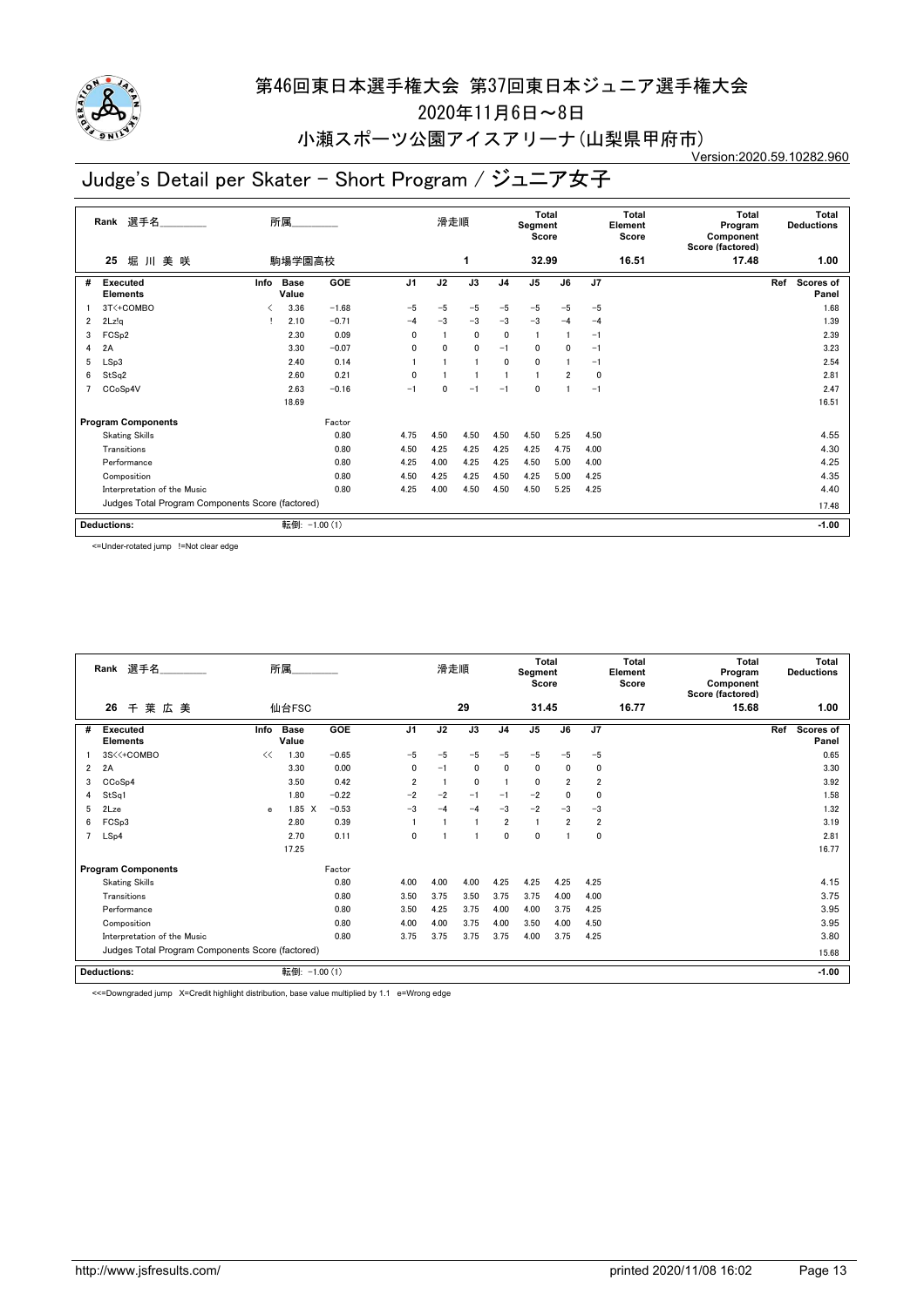

2020年11月6日~8日

小瀬スポーツ公園アイスアリーナ(山梨県甲府市) Version:2020.59.10282.960

# Judge's Detail per Skater - Short Program / ジュニア女子

| 選手名<br>Rank    |                                                  |      | 所属            |            |                 | 滑走順      |                 | Total<br>Segment<br>Score |                |              | Total<br>Element<br>Score |       | <b>Total</b><br>Program<br>Component<br>Score (factored) |     | <b>Total</b><br><b>Deductions</b> |
|----------------|--------------------------------------------------|------|---------------|------------|-----------------|----------|-----------------|---------------------------|----------------|--------------|---------------------------|-------|----------------------------------------------------------|-----|-----------------------------------|
|                | 堀川美咲<br>25                                       |      | 駒場学園高校        |            |                 |          | 1               |                           | 32.99          |              |                           | 16.51 | 17.48                                                    |     | 1.00                              |
| #              | Executed<br><b>Elements</b>                      | Info | Base<br>Value | <b>GOE</b> | $\overline{J1}$ | J2       | $\overline{J3}$ | J <sub>4</sub>            | J <sub>5</sub> | J6           | J7                        |       |                                                          | Ref | Scores of<br>Panel                |
|                | 3T<+COMBO                                        |      | 3.36          | $-1.68$    | $-5$            | $-5$     | $-5$            | $-5$                      | $-5$           | $-5$         | $-5$                      |       |                                                          |     | 1.68                              |
| $\overline{2}$ | 2Lz!q                                            |      | 2.10          | $-0.71$    | $-4$            | $-3$     | $-3$            | $-3$                      | $-3$           | $-4$         | $-4$                      |       |                                                          |     | 1.39                              |
| 3              | FCS <sub>p2</sub>                                |      | 2.30          | 0.09       | $\mathbf{0}$    |          | $\mathbf 0$     | 0                         | $\overline{1}$ |              | -1                        |       |                                                          |     | 2.39                              |
| 4              | 2A                                               |      | 3.30          | $-0.07$    | $\Omega$        | 0        | $\mathbf{0}$    | $-1$                      | 0              | $\mathbf{0}$ | -1                        |       |                                                          |     | 3.23                              |
| 5              | LSp3                                             |      | 2.40          | 0.14       |                 |          |                 | 0                         | $\mathbf{0}$   |              | $-1$                      |       |                                                          |     | 2.54                              |
| 6              | StSq2                                            |      | 2.60          | 0.21       | 0               |          |                 |                           |                | 2            | 0                         |       |                                                          |     | 2.81                              |
| $\overline{7}$ | CCoSp4V                                          |      | 2.63          | $-0.16$    | $-1$            | $\Omega$ | $-1$            | $-1$                      | 0              |              | $-1$                      |       |                                                          |     | 2.47                              |
|                |                                                  |      | 18.69         |            |                 |          |                 |                           |                |              |                           |       |                                                          |     | 16.51                             |
|                | <b>Program Components</b>                        |      |               | Factor     |                 |          |                 |                           |                |              |                           |       |                                                          |     |                                   |
|                | <b>Skating Skills</b>                            |      |               | 0.80       | 4.75            | 4.50     | 4.50            | 4.50                      | 4.50           | 5.25         | 4.50                      |       |                                                          |     | 4.55                              |
|                | Transitions                                      |      |               | 0.80       | 4.50            | 4.25     | 4.25            | 4.25                      | 4.25           | 4.75         | 4.00                      |       |                                                          |     | 4.30                              |
|                | Performance                                      |      |               | 0.80       | 4.25            | 4.00     | 4.25            | 4.25                      | 4.50           | 5.00         | 4.00                      |       |                                                          |     | 4.25                              |
|                | Composition                                      |      |               | 0.80       | 4.50            | 4.25     | 4.25            | 4.50                      | 4.25           | 5.00         | 4.25                      |       |                                                          |     | 4.35                              |
|                | Interpretation of the Music                      |      |               | 0.80       | 4.25            | 4.00     | 4.50            | 4.50                      | 4.50           | 5.25         | 4.25                      |       |                                                          |     | 4.40                              |
|                | Judges Total Program Components Score (factored) |      |               |            |                 |          |                 |                           |                |              |                           |       |                                                          |     | 17.48                             |
|                | <b>Deductions:</b>                               |      | 転倒:           | $-1.00(1)$ |                 |          |                 |                           |                |              |                           |       |                                                          |     | $-1.00$                           |

<=Under-rotated jump !=Not clear edge

|   | Rank 選手名                                         |      | 所属                   |         |                | 滑走順  |              |                | Total<br>Segment<br>Score |                |                         | <b>Total</b><br>Element<br>Score | <b>Total</b><br>Program<br>Component<br>Score (factored) | <b>Total</b><br><b>Deductions</b> |         |
|---|--------------------------------------------------|------|----------------------|---------|----------------|------|--------------|----------------|---------------------------|----------------|-------------------------|----------------------------------|----------------------------------------------------------|-----------------------------------|---------|
|   | 26<br>葉広美<br>千                                   |      | 仙台FSC                |         |                |      | 29           |                | 31.45                     |                |                         | 16.77                            | 15.68                                                    |                                   | 1.00    |
| # | <b>Executed</b><br><b>Elements</b>               | Info | <b>Base</b><br>Value | GOE     | J1             | J2   | J3           | J <sub>4</sub> | J5                        | J6             | J7                      |                                  |                                                          | Ref<br><b>Scores of</b><br>Panel  |         |
|   | 3S<<+COMBO                                       | <<   | 1.30                 | $-0.65$ | $-5$           | $-5$ | $-5$         | $-5$           | $-5$                      | $-5$           | $-5$                    |                                  |                                                          |                                   | 0.65    |
| 2 | 2A                                               |      | 3.30                 | 0.00    | 0              | $-1$ | $\mathbf{0}$ | 0              | $\mathbf{0}$              | $\mathbf{0}$   | 0                       |                                  |                                                          |                                   | 3.30    |
| 3 | CCoSp4                                           |      | 3.50                 | 0.42    | $\overline{2}$ |      | $\mathbf 0$  |                | $\Omega$                  | $\overline{2}$ | $\overline{\mathbf{2}}$ |                                  |                                                          |                                   | 3.92    |
| 4 | StSq1                                            |      | 1.80                 | $-0.22$ | $-2$           | $-2$ | $-1$         | $-1$           | $-2$                      | $\mathbf{0}$   | 0                       |                                  |                                                          |                                   | 1.58    |
| 5 | 2Lze                                             | e    | $1.85 \quad X$       | $-0.53$ | $-3$           | $-4$ | $-4$         | $-3$           | $-2$                      | $-3$           | $-3$                    |                                  |                                                          |                                   | 1.32    |
| 6 | FCSp3                                            |      | 2.80                 | 0.39    |                |      |              | $\overline{2}$ |                           | 2              | $\overline{\mathbf{2}}$ |                                  |                                                          |                                   | 3.19    |
|   | LSp4                                             |      | 2.70                 | 0.11    | $\mathbf{0}$   |      |              | $\mathbf{0}$   | $\Omega$                  |                | 0                       |                                  |                                                          |                                   | 2.81    |
|   |                                                  |      | 17.25                |         |                |      |              |                |                           |                |                         |                                  |                                                          |                                   | 16.77   |
|   | <b>Program Components</b>                        |      |                      | Factor  |                |      |              |                |                           |                |                         |                                  |                                                          |                                   |         |
|   | <b>Skating Skills</b>                            |      |                      | 0.80    | 4.00           | 4.00 | 4.00         | 4.25           | 4.25                      | 4.25           | 4.25                    |                                  |                                                          |                                   | 4.15    |
|   | Transitions                                      |      |                      | 0.80    | 3.50           | 3.75 | 3.50         | 3.75           | 3.75                      | 4.00           | 4.00                    |                                  |                                                          |                                   | 3.75    |
|   | Performance                                      |      |                      | 0.80    | 3.50           | 4.25 | 3.75         | 4.00           | 4.00                      | 3.75           | 4.25                    |                                  |                                                          |                                   | 3.95    |
|   | Composition                                      |      |                      | 0.80    | 4.00           | 4.00 | 3.75         | 4.00           | 3.50                      | 4.00           | 4.50                    |                                  |                                                          |                                   | 3.95    |
|   | Interpretation of the Music                      |      |                      | 0.80    | 3.75           | 3.75 | 3.75         | 3.75           | 4.00                      | 3.75           | 4.25                    |                                  |                                                          |                                   | 3.80    |
|   | Judges Total Program Components Score (factored) |      |                      |         |                |      |              |                |                           |                |                         |                                  |                                                          |                                   | 15.68   |
|   | <b>Deductions:</b>                               |      | 転倒: -1.00 (1)        |         |                |      |              |                |                           |                |                         |                                  |                                                          |                                   | $-1.00$ |

<<=Downgraded jump X=Credit highlight distribution, base value multiplied by 1.1 e=Wrong edge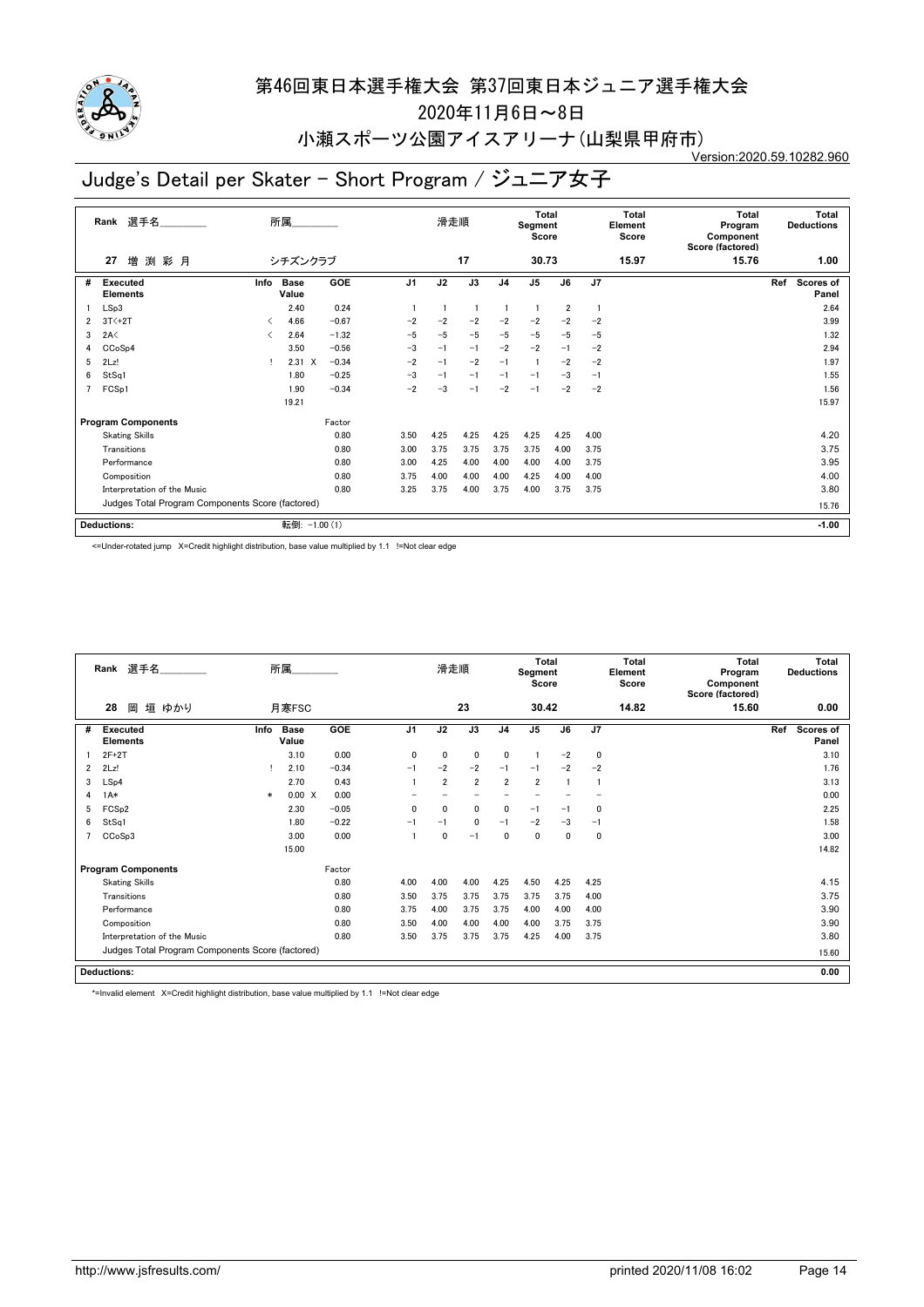

2020年11月6日~8日

#### 小瀬スポーツ公園アイスアリーナ(山梨県甲府市) Version:2020.59.10282.960

# Judge's Detail per Skater - Short Program / ジュニア女子

| 選手名<br>Rank |                                                  |      | 所属                   |         |                |      | 滑走順            |                | <b>Total</b><br>Segment<br>Score |                |                | Total<br>Element<br>Score | Total<br>Program<br>Component<br>Score (factored) | <b>Total</b><br><b>Deductions</b> |
|-------------|--------------------------------------------------|------|----------------------|---------|----------------|------|----------------|----------------|----------------------------------|----------------|----------------|---------------------------|---------------------------------------------------|-----------------------------------|
|             | 増<br>渕<br>彩月<br>27                               |      | シチズンクラブ              |         |                |      | 17             |                | 30.73                            |                |                | 15.97                     | 15.76                                             | 1.00                              |
| #           | Executed<br><b>Elements</b>                      | Info | <b>Base</b><br>Value | GOE     | J <sub>1</sub> | J2   | J3             | J <sub>4</sub> | J <sub>5</sub>                   | J6             | J <sub>7</sub> |                           |                                                   | Ref<br><b>Scores of</b><br>Panel  |
|             | LSp3                                             |      | 2.40                 | 0.24    | $\mathbf{1}$   |      | $\blacksquare$ | $\mathbf{1}$   | -1                               | $\overline{2}$ |                |                           |                                                   | 2.64                              |
| 2           | $3T<+2T$                                         | ≺    | 4.66                 | $-0.67$ | $-2$           | $-2$ | $-2$           | $-2$           | $-2$                             | $-2$           | $-2$           |                           |                                                   | 3.99                              |
| 3           | 2A<                                              | ✓    | 2.64                 | $-1.32$ | $-5$           | $-5$ | $-5$           | $-5$           | $-5$                             | $-5$           | $-5$           |                           |                                                   | 1.32                              |
| 4           | CCoSp4                                           |      | 3.50                 | $-0.56$ | $-3$           | $-1$ | $-1$           | $-2$           | $-2$                             | $-1$           | $-2$           |                           |                                                   | 2.94                              |
| 5           | 2Lz!                                             |      | $2.31 \t X$          | $-0.34$ | $-2$           | $-1$ | $-2$           | $-1$           | $\overline{1}$                   | $-2$           | $-2$           |                           |                                                   | 1.97                              |
| 6           | StSq1                                            |      | 1.80                 | $-0.25$ | $-3$           | $-1$ | $-1$           | $-1$           | $-1$                             | $-3$           | $-1$           |                           |                                                   | 1.55                              |
| 7           | FCSp1                                            |      | 1.90                 | $-0.34$ | $-2$           | $-3$ | $-1$           | $-2$           | $-1$                             | $-2$           | $-2$           |                           |                                                   | 1.56                              |
|             |                                                  |      | 19.21                |         |                |      |                |                |                                  |                |                |                           |                                                   | 15.97                             |
|             | <b>Program Components</b>                        |      |                      | Factor  |                |      |                |                |                                  |                |                |                           |                                                   |                                   |
|             | <b>Skating Skills</b>                            |      |                      | 0.80    | 3.50           | 4.25 | 4.25           | 4.25           | 4.25                             | 4.25           | 4.00           |                           |                                                   | 4.20                              |
|             | Transitions                                      |      |                      | 0.80    | 3.00           | 3.75 | 3.75           | 3.75           | 3.75                             | 4.00           | 3.75           |                           |                                                   | 3.75                              |
|             | Performance                                      |      |                      | 0.80    | 3.00           | 4.25 | 4.00           | 4.00           | 4.00                             | 4.00           | 3.75           |                           |                                                   | 3.95                              |
|             | Composition                                      |      |                      | 0.80    | 3.75           | 4.00 | 4.00           | 4.00           | 4.25                             | 4.00           | 4.00           |                           |                                                   | 4.00                              |
|             | Interpretation of the Music                      |      |                      | 0.80    | 3.25           | 3.75 | 4.00           | 3.75           | 4.00                             | 3.75           | 3.75           |                           |                                                   | 3.80                              |
|             | Judges Total Program Components Score (factored) |      |                      |         |                |      |                |                |                                  |                |                |                           |                                                   | 15.76                             |
|             | <b>Deductions:</b>                               |      | 転倒: -1.00 (1)        |         |                |      |                |                |                                  |                |                |                           |                                                   | $-1.00$                           |

<=Under-rotated jump X=Credit highlight distribution, base value multiplied by 1.1 !=Not clear edge

|                | Rank 選手名                                         | 所属.    |                      | 滑走順        |                | <b>Total</b><br>Segment<br>Score |                |                | Total<br>Element<br>Score |      | Total<br>Program<br>Component<br>Score (factored) | Total<br><b>Deductions</b> |       |     |                           |
|----------------|--------------------------------------------------|--------|----------------------|------------|----------------|----------------------------------|----------------|----------------|---------------------------|------|---------------------------------------------------|----------------------------|-------|-----|---------------------------|
|                | 垣 ゆかり<br>28<br>岡                                 |        | 月寒FSC                |            |                |                                  | 23             |                | 30.42                     |      |                                                   | 14.82                      | 15.60 |     | 0.00                      |
| #              | <b>Executed</b><br><b>Elements</b>               | Info   | <b>Base</b><br>Value | <b>GOE</b> | J <sub>1</sub> | J2                               | J3             | J <sub>4</sub> | J <sub>5</sub>            | J6   | J7                                                |                            |       | Ref | <b>Scores of</b><br>Panel |
|                | $2F+2T$                                          |        | 3.10                 | 0.00       | $\mathbf{0}$   | $\mathbf{0}$                     | $\mathbf 0$    | 0              |                           | $-2$ | $\mathbf 0$                                       |                            |       |     | 3.10                      |
| $\overline{2}$ | 2Lz!                                             |        | 2.10                 | $-0.34$    | $-1$           | $-2$                             | $-2$           | $-1$           | $-1$                      | $-2$ | $-2$                                              |                            |       |     | 1.76                      |
| 3              | LSp4                                             |        | 2.70                 | 0.43       |                | $\overline{2}$                   | $\overline{2}$ | $\overline{2}$ | $\overline{2}$            |      |                                                   |                            |       |     | 3.13                      |
| 4              | $1A*$                                            | $\ast$ | 0.00 X               | 0.00       |                |                                  |                |                |                           |      |                                                   |                            |       |     | 0.00                      |
| 5              | FCS <sub>p2</sub>                                |        | 2.30                 | $-0.05$    | 0              | 0                                | 0              | 0              | $-1$                      | $-1$ | $\mathbf 0$                                       |                            |       |     | 2.25                      |
| 6              | StSq1                                            |        | 1.80                 | $-0.22$    | $-1$           | $-1$                             | $\mathbf 0$    | $-1$           | $-2$                      | $-3$ | $-1$                                              |                            |       |     | 1.58                      |
|                | CCoSp3                                           |        | 3.00                 | 0.00       |                | $\mathbf 0$                      | $-1$           | 0              | 0                         | 0    | 0                                                 |                            |       |     | 3.00                      |
|                |                                                  |        | 15.00                |            |                |                                  |                |                |                           |      |                                                   |                            |       |     | 14.82                     |
|                | <b>Program Components</b>                        |        |                      | Factor     |                |                                  |                |                |                           |      |                                                   |                            |       |     |                           |
|                | <b>Skating Skills</b>                            |        |                      | 0.80       | 4.00           | 4.00                             | 4.00           | 4.25           | 4.50                      | 4.25 | 4.25                                              |                            |       |     | 4.15                      |
|                | Transitions                                      |        |                      | 0.80       | 3.50           | 3.75                             | 3.75           | 3.75           | 3.75                      | 3.75 | 4.00                                              |                            |       |     | 3.75                      |
|                | Performance                                      |        |                      | 0.80       | 3.75           | 4.00                             | 3.75           | 3.75           | 4.00                      | 4.00 | 4.00                                              |                            |       |     | 3.90                      |
|                | Composition                                      |        |                      | 0.80       | 3.50           | 4.00                             | 4.00           | 4.00           | 4.00                      | 3.75 | 3.75                                              |                            |       |     | 3.90                      |
|                | Interpretation of the Music                      |        |                      | 0.80       | 3.50           | 3.75                             | 3.75           | 3.75           | 4.25                      | 4.00 | 3.75                                              |                            |       |     | 3.80                      |
|                | Judges Total Program Components Score (factored) |        |                      |            |                |                                  |                |                |                           |      |                                                   |                            |       |     | 15.60                     |
|                | <b>Deductions:</b>                               |        |                      |            |                |                                  |                |                |                           |      |                                                   |                            |       |     | 0.00                      |

\*=Invalid element X=Credit highlight distribution, base value multiplied by 1.1 !=Not clear edge